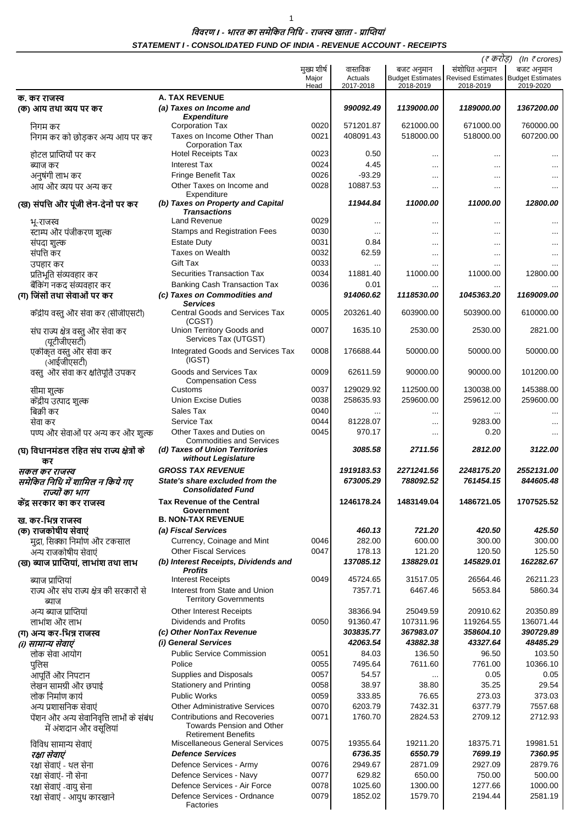## विवरण । - भारत का समेकित निधि - राजस्व खाता - प्राप्तियां STATEMENT I - CONSOLIDATED FUND OF INDIA - REVENUE ACCOUNT - RECEIPTS

|                                                                     |                                                                         |               |                      |                  | (ह करोड़)                                              | (In $\bar{\tau}$ crores)             |
|---------------------------------------------------------------------|-------------------------------------------------------------------------|---------------|----------------------|------------------|--------------------------------------------------------|--------------------------------------|
|                                                                     |                                                                         | मुख्य शीर्ष   | वास्तविक             | बजट अनुमान       | संशोधित अनुमान                                         | बजट अनुमान                           |
|                                                                     |                                                                         | Major<br>Head | Actuals<br>2017-2018 | 2018-2019        | <b>Budget Estimates</b> Revised Estimates<br>2018-2019 | <b>Budget Estimates</b><br>2019-2020 |
| क. कर राजस्व                                                        | <b>A. TAX REVENUE</b>                                                   |               |                      |                  |                                                        |                                      |
| (क) आय तथा व्यय पर कर                                               | (a) Taxes on Income and<br><b>Expenditure</b>                           |               | 990092.49            | 1139000.00       | 1189000.00                                             | 1367200.00                           |
| निगम कर                                                             | <b>Corporation Tax</b>                                                  | 0020          | 571201.87            | 621000.00        | 671000.00                                              | 760000.00                            |
| निगम कर को छोड़कर अन्य आय पर कर                                     | Taxes on Income Other Than<br><b>Corporation Tax</b>                    | 0021          | 408091.43            | 518000.00        | 518000.00                                              | 607200.00                            |
| होटल प्राप्तियों पर कर                                              | <b>Hotel Receipts Tax</b>                                               | 0023          | 0.50                 |                  |                                                        |                                      |
| ब्याज कर                                                            | <b>Interest Tax</b>                                                     | 0024          | 4.45                 |                  |                                                        |                                      |
| अनुषंगी लाभ कर                                                      | <b>Fringe Benefit Tax</b>                                               | 0026          | $-93.29$             |                  | $\cdots$                                               |                                      |
| आय और व्यय पर अन्य कर                                               | Other Taxes on Income and<br>Expenditure                                | 0028          | 10887.53             |                  | $\cdots$                                               |                                      |
| (ख) संपत्ति और पूंजी लेन-देनों पर कर                                | (b) Taxes on Property and Capital<br><b>Transactions</b>                |               | 11944.84             | 11000.00         | 11000.00                                               | 12800.00                             |
| भू-राजस्व                                                           | Land Revenue                                                            | 0029          |                      | $\cdots$         | $\cdots$                                               |                                      |
| स्टाम्प और पंजीकरण शुल्क                                            | <b>Stamps and Registration Fees</b>                                     | 0030          |                      |                  | $\cdots$                                               |                                      |
| संपदा शुल्क                                                         | <b>Estate Duty</b>                                                      | 0031          | 0.84                 |                  | $\cdots$                                               |                                      |
| संपत्ति कर                                                          | <b>Taxes on Wealth</b>                                                  | 0032          | 62.59                |                  | $\cdots$                                               |                                      |
| उपहार कर                                                            | Gift Tax                                                                | 0033          | $\cdots$             |                  |                                                        |                                      |
| प्रतिभूति संव्यवहार कर                                              | <b>Securities Transaction Tax</b>                                       | 0034          | 11881.40             | 11000.00         | 11000.00                                               | 12800.00                             |
| बैंकिंग नकद संव्यवहार कर                                            | <b>Banking Cash Transaction Tax</b>                                     | 0036          | 0.01                 |                  |                                                        |                                      |
| (ग) जिंसों तथा सेवाओं पर कर                                         | (c) Taxes on Commodities and<br><b>Services</b>                         |               | 914060.62            | 1118530.00       | 1045363.20                                             | 1169009.00                           |
| केंद्रीय वस्तु और सेवा कर (सीजीएसटी)                                | <b>Central Goods and Services Tax</b><br>(CGST)                         | 0005          | 203261.40            | 603900.00        | 503900.00                                              | 610000.00                            |
| संघ राज्य क्षेत्र वस्तु और सेवा कर<br>(यूटीजीएसटी)                  | Union Territory Goods and<br>Services Tax (UTGST)                       | 0007          | 1635.10              | 2530.00          | 2530.00                                                | 2821.00                              |
| एकीकृत वस्तु और सेवा कर<br>(आईजीएसटी)                               | Integrated Goods and Services Tax<br>(IGST)                             | 0008          | 176688.44            | 50000.00         | 50000.00                                               | 50000.00                             |
| वस्तु और सेवा कर क्षतिपूर्ति उपकर                                   | Goods and Services Tax<br><b>Compensation Cess</b>                      | 0009          | 62611.59             | 90000.00         | 90000.00                                               | 101200.00                            |
| सीमा शुल्क                                                          | Customs                                                                 | 0037          | 129029.92            | 112500.00        | 130038.00                                              | 145388.00                            |
| केंद्रीय उत्पाद शुल्क                                               | <b>Union Excise Duties</b>                                              | 0038          | 258635.93            | 259600.00        | 259612.00                                              | 259600.00                            |
| बिक्री कर                                                           | Sales Tax                                                               | 0040          |                      |                  |                                                        |                                      |
| सेवा कर                                                             | Service Tax                                                             | 0044          | 81228.07             |                  | 9283.00                                                |                                      |
| पण्य और सेवाओं पर अन्य कर और शुल्क                                  | Other Taxes and Duties on<br><b>Commodities and Services</b>            | 0045          | 970.17               |                  | 0.20                                                   |                                      |
| (घ) विधानमंडल रहित संघ राज्य क्षेत्रों के<br>कर                     | (d) Taxes of Union Territories<br>without Legislature                   |               | 3085.58              | 2711.56          | 2812.00                                                | 3122.00                              |
| सकल कर राजस्व                                                       | <b>GROSS TAX REVENUE</b>                                                |               | 1919183.53           | 2271241.56       | 2248175.20                                             | 2552131.00                           |
| समेकित निधि में शामिल न किये गए<br>राज्यों का भाग                   | State's share excluded from the<br><b>Consolidated Fund</b>             |               | 673005.29            | 788092.52        | 761454.15                                              | 844605.48                            |
| केंद्र सरकार का कर राजस्व                                           | <b>Tax Revenue of the Central</b>                                       |               | 1246178.24           | 1483149.04       | 1486721.05                                             | 1707525.52                           |
|                                                                     | Government                                                              |               |                      |                  |                                                        |                                      |
| ख. कर-भिन्न राजस्व                                                  | <b>B. NON-TAX REVENUE</b><br>(a) Fiscal Services                        |               |                      |                  |                                                        |                                      |
| (क) राजकोषीय सेवाएं                                                 | Currency, Coinage and Mint                                              |               | 460.13<br>282.00     | 721.20<br>600.00 | 420.50<br>300.00                                       | 425.50<br>300.00                     |
| मुद्रा, सिक्का निर्माण और टकसाल<br>अन्य राजकोषीय सेवाएं             | <b>Other Fiscal Services</b>                                            | 0046<br>0047  | 178.13               | 121.20           | 120.50                                                 | 125.50                               |
| (ख) ब्याज प्राप्तियां, लाभांश तथा लाभ                               | (b) Interest Receipts, Dividends and<br><b>Profits</b>                  |               | 137085.12            | 138829.01        | 145829.01                                              | 162282.67                            |
| ब्याज प्राप्तियां                                                   | <b>Interest Receipts</b>                                                | 0049          | 45724.65             | 31517.05         | 26564.46                                               | 26211.23                             |
| राज्य और संघ राज्य क्षेत्र की सरकारों से<br>ब्याज                   | Interest from State and Union<br><b>Territory Governments</b>           |               | 7357.71              | 6467.46          | 5653.84                                                | 5860.34                              |
| अन्य ब्याज प्राप्तियां                                              | Other Interest Receipts                                                 |               | 38366.94             | 25049.59         | 20910.62                                               | 20350.89                             |
| लाभांश और लाभ                                                       | Dividends and Profits                                                   | 0050          | 91360.47             | 107311.96        | 119264.55                                              | 136071.44                            |
| (ग) अन्य कर-भिन्न राजस्व                                            | (c) Other NonTax Revenue                                                |               | 303835.77            | 367983.07        | 358604.10                                              | 390729.89                            |
| (i) सामान्य सेवाएं                                                  | (i) General Services                                                    |               | 42063.54             | 43882.38         | 43327.64                                               | 48485.29                             |
| लोक सेवा आयोग                                                       | <b>Public Service Commission</b>                                        | 0051          | 84.03                | 136.50           | 96.50                                                  | 103.50                               |
| पुलिस                                                               | Police                                                                  | 0055          | 7495.64              | 7611.60          | 7761.00                                                | 10366.10                             |
| आपूर्ति और निपटान                                                   | Supplies and Disposals                                                  | 0057          | 54.57                |                  | 0.05                                                   | 0.05                                 |
| लेखन सामग्री और छपाई                                                | <b>Stationery and Printing</b>                                          | 0058          | 38.97                | 38.80            | 35.25                                                  | 29.54                                |
| लोक निर्माण कार्य                                                   | <b>Public Works</b>                                                     | 0059          | 333.85               | 76.65            | 273.03                                                 | 373.03                               |
| अन्य प्रशासनिक सेवाएं                                               | <b>Other Administrative Services</b>                                    | 0070          | 6203.79              | 7432.31          | 6377.79                                                | 7557.68                              |
| पेंशन और अन्य सेवानिवृत्ति लाभों के संबंध<br>में अंशदान और वसूलियां | <b>Contributions and Recoveries</b><br><b>Towards Pension and Other</b> | 0071          | 1760.70              | 2824.53          | 2709.12                                                | 2712.93                              |
| विविध सामान्य सेवाएं                                                | <b>Retirement Benefits</b><br>Miscellaneous General Services            | 0075          | 19355.64             | 19211.20         | 18375.71                                               | 19981.51                             |
| रक्षा सेवाएं                                                        | <b>Defence Services</b>                                                 |               | 6736.35              | 6550.79          | 7699.19                                                | 7360.95                              |
| रक्षा सेवाएं - थल सेना                                              | Defence Services - Army                                                 | 0076          | 2949.67              | 2871.09          | 2927.09                                                | 2879.76                              |
| रक्षा सेवाएं- नौ सेना                                               | Defence Services - Navy                                                 | 0077          | 629.82               | 650.00           | 750.00                                                 | 500.00                               |
| रक्षा सेवाएं -वायु सेना                                             | Defence Services - Air Force                                            | 0078          | 1025.60              | 1300.00          | 1277.66                                                | 1000.00                              |
| रक्षा सेवाएं - आयुध कारखाने                                         | Defence Services - Ordnance<br>Factories                                | 0079          | 1852.02              | 1579.70          | 2194.44                                                | 2581.19                              |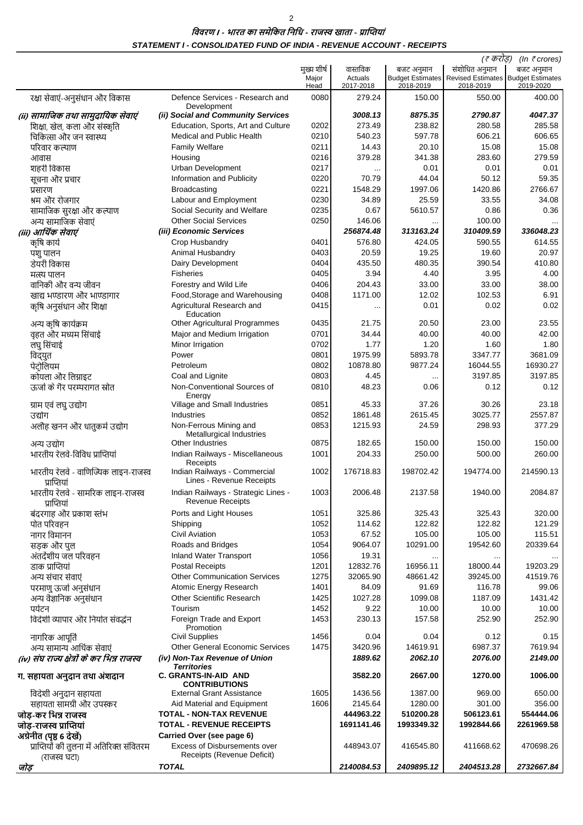## विवरण । - भारत का समेकित निधि - राजस्व खाता - प्राप्तियां STATEMENT I - CONSOLIDATED FUND OF INDIA - REVENUE ACCOUNT - RECEIPTS

 $\overline{2}$ 

|                                                     |                                                                |               |                      |            | (₹ करोड़)                                                               | (In $\bar{\tau}$ crores) |
|-----------------------------------------------------|----------------------------------------------------------------|---------------|----------------------|------------|-------------------------------------------------------------------------|--------------------------|
|                                                     |                                                                | मुख्य शीर्ष   | वास्तविक             | बजट अनुमान | संशोधित अनुमान                                                          | बजट अनुमान               |
|                                                     |                                                                | Major<br>Head | Actuals<br>2017-2018 | 2018-2019  | <b>Budget Estimates Revised Estimates Budget Estimates</b><br>2018-2019 | 2019-2020                |
| रक्षा सेवाएं-अनुसंधान और विकास                      | Defence Services - Research and<br>Development                 | 0080          | 279.24               | 150.00     | 550.00                                                                  | 400.00                   |
| (ii) सामाजिक तथा सामुदायिक सेवाएं                   | (ii) Social and Community Services                             |               | 3008.13              | 8875.35    | 2790.87                                                                 | 4047.37                  |
| शिक्षा, खेल, कला और संस्कृति                        | Education, Sports, Art and Culture                             | 0202          | 273.49               | 238.82     | 280.58                                                                  | 285.58                   |
| चिकित्सा और जन स्वास्थ्य                            | <b>Medical and Public Health</b>                               | 0210          | 540.23               | 597.78     | 606.21                                                                  | 606.65                   |
| परिवार कल्याण                                       | <b>Family Welfare</b>                                          | 0211          | 14.43                | 20.10      | 15.08                                                                   | 15.08                    |
|                                                     | Housing                                                        | 0216          | 379.28               | 341.38     | 283.60                                                                  | 279.59                   |
| आवास                                                |                                                                | 0217          |                      |            |                                                                         |                          |
| शहरी विकास                                          | <b>Urban Development</b>                                       |               | $\ddotsc$            | 0.01       | 0.01                                                                    | 0.01                     |
| सूचना और प्रचार                                     | Information and Publicity                                      | 0220          | 70.79                | 44.04      | 50.12                                                                   | 59.35                    |
| प्रसारण                                             | Broadcasting                                                   | 0221          | 1548.29              | 1997.06    | 1420.86                                                                 | 2766.67                  |
| श्रम और रोजगार                                      | Labour and Employment                                          | 0230          | 34.89                | 25.59      | 33.55                                                                   | 34.08                    |
| सामाजिक सुरक्षा और कल्याण                           | Social Security and Welfare                                    | 0235          | 0.67                 | 5610.57    | 0.86                                                                    | 0.36                     |
| अन्य सामाजिक सेवाएं                                 | <b>Other Social Services</b>                                   | 0250          | 146.06               | $\ddotsc$  | 100.00                                                                  | $\cdots$                 |
| (iii) आर्थिक सेवाएं                                 | (iii) Economic Services                                        |               | 256874.48            | 313163.24  | 310409.59                                                               | 336048.23                |
| कृषि कार्य                                          | Crop Husbandry                                                 | 0401          | 576.80               | 424.05     | 590.55                                                                  | 614.55                   |
| पशु पालन                                            | Animal Husbandry                                               | 0403          | 20.59                | 19.25      | 19.60                                                                   | 20.97                    |
| डेयरी विकास                                         | Dairy Development                                              | 0404          | 435.50               | 480.35     | 390.54                                                                  | 410.80                   |
| मत्स्य पालन                                         | <b>Fisheries</b>                                               | 0405          | 3.94                 | 4.40       | 3.95                                                                    | 4.00                     |
| वानिकी और वन्य जीवन                                 | Forestry and Wild Life                                         | 0406          | 204.43               | 33.00      | 33.00                                                                   | 38.00                    |
| खाद्य भण्डारण और भाण्डागार                          | Food, Storage and Warehousing                                  | 0408          | 1171.00              | 12.02      | 102.53                                                                  | 6.91                     |
| कृषि अनुसंधान और शिक्षा                             | Agricultural Research and                                      | 0415          | $\cdots$             | 0.01       | 0.02                                                                    | 0.02                     |
|                                                     | Education                                                      |               |                      |            |                                                                         |                          |
| अन्य कृषि कार्यक्रम                                 | Other Agricultural Programmes                                  | 0435          | 21.75                | 20.50      | 23.00                                                                   | 23.55                    |
| वृहत और मध्यम सिंचाई                                | Major and Medium Irrigation                                    | 0701          | 34.44                | 40.00      | 40.00                                                                   | 42.00                    |
| लघु सिंचाई                                          | Minor Irrigation                                               | 0702          | 1.77                 | 1.20       | 1.60                                                                    | 1.80                     |
| विद्युत                                             | Power                                                          | 0801          | 1975.99              | 5893.78    | 3347.77                                                                 | 3681.09                  |
| पेटोलियम                                            | Petroleum                                                      | 0802          | 10878.80             | 9877.24    | 16044.55                                                                | 16930.27                 |
| कोयला और लिग्नाइट                                   | Coal and Lignite                                               | 0803          | 4.45                 | $\cdots$   | 3197.85                                                                 | 3197.85                  |
| ऊर्जा के गैर परम्परागत स्रोत                        | Non-Conventional Sources of                                    | 0810          | 48.23                | 0.06       | 0.12                                                                    | 0.12                     |
| ग्राम एवं लघु उद्योग                                | Energy<br>Village and Small Industries                         | 0851          | 45.33                | 37.26      | 30.26                                                                   | 23.18                    |
| उद्योग                                              | <b>Industries</b>                                              | 0852          | 1861.48              | 2615.45    | 3025.77                                                                 | 2557.87                  |
|                                                     | Non-Ferrous Mining and                                         | 0853          | 1215.93              | 24.59      | 298.93                                                                  | 377.29                   |
| अलौह खनन और धातुकर्म उद्योग                         | Metallurgical Industries<br>Other Industries                   |               |                      |            |                                                                         |                          |
| अन्य उद्योग                                         |                                                                | 0875          | 182.65               | 150.00     | 150.00                                                                  | 150.00                   |
| भारतीय रेलवे-विविध प्राप्तियां                      | Indian Railways - Miscellaneous<br>Receipts                    | 1001          | 204.33               | 250.00     | 500.00                                                                  | 260.00                   |
| भारतीय रेलवे - वाणिज्यिक लाइन-राजस्व<br>प्राप्तियां | Indian Railways - Commercial<br>Lines - Revenue Receipts       | 1002          | 176718.83            | 198702.42  | 194774.00                                                               | 214590.13                |
| भारतीय रेलवे - सामरिक लाइन-राजस्व                   | Indian Railways - Strategic Lines -<br><b>Revenue Receipts</b> | 1003          | 2006.48              | 2137.58    | 1940.00                                                                 | 2084.87                  |
| प्राप्तियां                                         |                                                                |               |                      |            |                                                                         |                          |
| बंदरगाह और प्रकाश स्तंभ                             | Ports and Light Houses                                         | 1051          | 325.86               | 325.43     | 325.43                                                                  | 320.00                   |
| पोत परिवहन                                          | Shipping                                                       | 1052          | 114.62               | 122.82     | 122.82                                                                  | 121.29                   |
| नागर विमानन                                         | <b>Civil Aviation</b>                                          | 1053          | 67.52                | 105.00     | 105.00                                                                  | 115.51                   |
| सड़क और पुल                                         | Roads and Bridges                                              | 1054          | 9064.07              | 10291.00   | 19542.60                                                                | 20339.64                 |
| अंतर्देशीय जल परिवहन                                | Inland Water Transport                                         | 1056          | 19.31                | $\cdots$   |                                                                         |                          |
| डाक प्राप्तियां                                     | <b>Postal Receipts</b>                                         | 1201          | 12832.76             | 16956.11   | 18000.44                                                                | 19203.29                 |
| अन्य संचार सेवाएं                                   | <b>Other Communication Services</b>                            | 1275          | 32065.90             | 48661.42   | 39245.00                                                                | 41519.76                 |
| परमाणु ऊर्जा अनुसंधान                               | Atomic Energy Research                                         | 1401          | 84.09                | 91.69      | 116.78                                                                  | 99.06                    |
| अन्य वैज्ञानिक अनुसंधान                             | <b>Other Scientific Research</b>                               | 1425          | 1027.28              | 1099.08    | 1187.09                                                                 | 1431.42                  |
| पर्यटन                                              | Tourism                                                        | 1452          | 9.22                 | 10.00      | 10.00                                                                   | 10.00                    |
| विदेशी व्यापार और निर्यात संवर्द्धन                 | Foreign Trade and Export<br>Promotion                          | 1453          | 230.13               | 157.58     | 252.90                                                                  | 252.90                   |
| नागरिक आपूर्ति                                      | <b>Civil Supplies</b>                                          | 1456          | 0.04                 | 0.04       | 0.12                                                                    | 0.15                     |
| अन्य सामान्य आर्थिक सेवाएं                          | <b>Other General Economic Services</b>                         | 1475          | 3420.96              | 14619.91   | 6987.37                                                                 | 7619.94                  |
| (iv) संघ राज्य क्षेत्रों के कर भिन्न राजस्व         | (iv) Non-Tax Revenue of Union<br><b>Territories</b>            |               | 1889.62              | 2062.10    | 2076.00                                                                 | 2149.00                  |
| ग. सहायता अनुदान तथा अंशदान                         | C. GRANTS-IN-AID AND<br><b>CONTRIBUTIONS</b>                   |               | 3582.20              | 2667.00    | 1270.00                                                                 | 1006.00                  |
| विदेशी अनुदान सहायता                                | <b>External Grant Assistance</b>                               | 1605          | 1436.56              | 1387.00    | 969.00                                                                  | 650.00                   |
| सहायता सामग्री और उपस्कर                            | Aid Material and Equipment                                     | 1606          | 2145.64              | 1280.00    | 301.00                                                                  | 356.00                   |
| जोड़-कर भिन्न राजस्व                                | <b>TOTAL - NON-TAX REVENUE</b>                                 |               | 444963.22            | 510200.28  | 506123.61                                                               | 554444.06                |
| जोड़-राजस्व प्राप्तियां                             | <b>TOTAL - REVENUE RECEIPTS</b>                                |               | 1691141.46           | 1993349.32 | 1992844.66                                                              | 2261969.58               |
| अंग्रेनीत (पृष्ठ 6 देखें)                           | Carried Over (see page 6)                                      |               |                      |            |                                                                         |                          |
| प्राप्तियों की तुलना में अतिरिक्त संवितरम           | <b>Excess of Disbursements over</b>                            |               | 448943.07            | 416545.80  | 411668.62                                                               | 470698.26                |
| (राजस्व घटा)                                        | Receipts (Revenue Deficit)                                     |               |                      |            |                                                                         |                          |
| जोड                                                 | <b>TOTAL</b>                                                   |               | 2140084.53           | 2409895.12 | 2404513.28                                                              | 2732667.84               |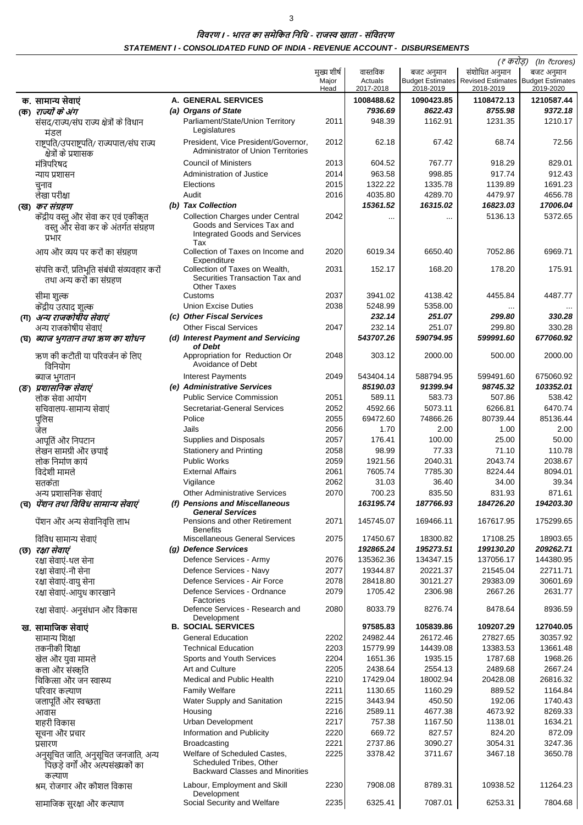$\overline{3}$ 

#### विवरण । - भारत का समेकित निधि - राजस्व खाता - संवितरण STATEMENT I - CONSOLIDATED FUND OF INDIA - REVENUE ACCOUNT - DISBURSEMENTS

|                                                                                       |                                                                   |             |            |            | (₹ करोड़)                                               | (In $\bar{\tau}$ crores) |
|---------------------------------------------------------------------------------------|-------------------------------------------------------------------|-------------|------------|------------|---------------------------------------------------------|--------------------------|
|                                                                                       |                                                                   | मुख्य शीर्ष | वास्तविक   | बजट अनुमान | संशोधित अनुमान                                          | बजट अनुमान               |
|                                                                                       |                                                                   | Major       | Actuals    |            | Budget Estimates   Revised Estimates   Budget Estimates |                          |
|                                                                                       |                                                                   | Head        | 2017-2018  | 2018-2019  | 2018-2019                                               | 2019-2020                |
| क. सामान्य सेवाएं                                                                     | <b>A. GENERAL SERVICES</b>                                        |             | 1008488.62 | 1090423.85 | 1108472.13                                              | 1210587.44               |
| (क) <i>राज्यों के अंग</i>                                                             | (a) Organs of State                                               |             | 7936.69    | 8622.43    | 8755.98                                                 | 9372.18                  |
| संसद/राज्य/संघ राज्य क्षेत्रों के विधान                                               | Parliament/State/Union Territory                                  | 2011        | 948.39     | 1162.91    | 1231.35                                                 | 1210.17                  |
| मंडल                                                                                  | Legislatures                                                      |             |            |            |                                                         |                          |
| राष्ट्रपति/उपराष्ट्रपति/ राज्यपाल/संघ राज्य                                           | President, Vice President/Governor,                               | 2012        | 62.18      | 67.42      | 68.74                                                   | 72.56                    |
| क्षेत्रों के प्रशासक                                                                  | <b>Administrator of Union Territories</b>                         |             |            |            |                                                         |                          |
| मंत्रिपरिषद                                                                           | <b>Council of Ministers</b>                                       | 2013        | 604.52     | 767.77     | 918.29                                                  | 829.01                   |
| न्याय प्रशासन                                                                         | Administration of Justice                                         | 2014        | 963.58     | 998.85     | 917.74                                                  | 912.43                   |
| चुनाव                                                                                 | Elections                                                         | 2015        | 1322.22    | 1335.78    | 1139.89                                                 | 1691.23                  |
| लेखा परीक्षा                                                                          | Audit                                                             | 2016        | 4035.80    | 4289.70    | 4479.97                                                 | 4656.78                  |
| (ख) <i>कर संग्रहण</i>                                                                 | (b) Tax Collection                                                |             | 15361.52   | 16315.02   | 16823.03                                                | 17006.04                 |
|                                                                                       | <b>Collection Charges under Central</b>                           | 2042        |            |            | 5136.13                                                 | 5372.65                  |
| केंद्रीय वस्तु और सेवा कर एवं एकीकृत<br>वस्तु और सेवा कर के अंतर्गत संग्रहण<br>प्रभार | Goods and Services Tax and<br>Integrated Goods and Services       |             |            | $\cdots$   |                                                         |                          |
| आय और व्यय पर करों का संग्रहण                                                         | Tax<br>Collection of Taxes on Income and                          | 2020        | 6019.34    | 6650.40    | 7052.86                                                 | 6969.71                  |
|                                                                                       | Expenditure<br>Collection of Taxes on Wealth.                     |             |            |            |                                                         |                          |
| संपत्ति करों, प्रतिभूति संबंधी संव्यवहार करों<br>तथा अन्य करों का संग्रहण             | Securities Transaction Tax and<br><b>Other Taxes</b>              | 2031        | 152.17     | 168.20     | 178.20                                                  | 175.91                   |
| सीमा शुल्क                                                                            | Customs                                                           | 2037        | 3941.02    | 4138.42    | 4455.84                                                 | 4487.77                  |
| केंद्रीय उत्पाद शुल्क                                                                 | <b>Union Excise Duties</b>                                        | 2038        | 5248.99    | 5358.00    |                                                         |                          |
| (ग) अन्य राजकोषीय सेवाएं                                                              | (c) Other Fiscal Services                                         |             | 232.14     | 251.07     | 299.80                                                  | 330.28                   |
|                                                                                       | <b>Other Fiscal Services</b>                                      | 2047        | 232.14     | 251.07     | 299.80                                                  | 330.28                   |
| अन्य राजकोषीय सेवाएं                                                                  |                                                                   |             | 543707.26  | 590794.95  | 599991.60                                               | 677060.92                |
| (घ) ब्याज भुगतान तथा ऋण का शोधन                                                       | (d) Interest Payment and Servicing<br>of Debt                     |             |            |            |                                                         |                          |
| ऋण की कटौती या परिवर्जन के लिए<br>विनियोग                                             | Appropriation for Reduction Or<br>Avoidance of Debt               | 2048        | 303.12     | 2000.00    | 500.00                                                  | 2000.00                  |
| ब्याज भुगतान                                                                          | Interest Payments                                                 | 2049        | 543404.14  | 588794.95  | 599491.60                                               | 675060.92                |
| (ङ) प्रशासनिक सेवाएं                                                                  | (e) Administrative Services                                       |             | 85190.03   | 91399.94   | 98745.32                                                | 103352.01                |
| लोक सेवा आयोग                                                                         | <b>Public Service Commission</b>                                  | 2051        | 589.11     | 583.73     | 507.86                                                  | 538.42                   |
| सचिवालय-सामान्य सेवाएं                                                                | Secretariat-General Services                                      | 2052        | 4592.66    | 5073.11    | 6266.81                                                 | 6470.74                  |
|                                                                                       | Police                                                            | 2055        | 69472.60   | 74866.26   | 80739.44                                                | 85136.44                 |
| पुलिस                                                                                 |                                                                   |             |            |            |                                                         |                          |
| जेल                                                                                   | Jails                                                             | 2056        | 1.70       | 2.00       | 1.00                                                    | 2.00                     |
| आपूर्ति और निपटान                                                                     | Supplies and Disposals                                            | 2057        | 176.41     | 100.00     | 25.00                                                   | 50.00                    |
| लेखन सामग्री और छपाई                                                                  | <b>Stationery and Printing</b>                                    | 2058        | 98.99      | 77.33      | 71.10                                                   | 110.78                   |
| लोक निर्माण कार्य                                                                     | <b>Public Works</b>                                               | 2059        | 1921.56    | 2040.31    | 2043.74                                                 | 2038.67                  |
| विदेशी मामले                                                                          | <b>External Affairs</b>                                           | 2061        | 7605.74    | 7785.30    | 8224.44                                                 | 8094.01                  |
| सतर्कता                                                                               | Vigilance                                                         | 2062        | 31.03      | 36.40      | 34.00                                                   | 39.34                    |
| अन्य प्रशासनिक सेवाएं                                                                 | <b>Other Administrative Services</b>                              | 2070        | 700.23     | 835.50     | 831.93                                                  | 871.61                   |
| (च) <i>पेंशन तथा विविध सामान्य सेवाएं</i>                                             | (f) Pensions and Miscellaneous                                    |             | 163195.74  | 187766.93  | 184726.20                                               | 194203.30                |
|                                                                                       | <b>General Services</b>                                           |             |            |            |                                                         |                          |
| पेंशन और अन्य सेवानिवृत्ति लाभ                                                        | Pensions and other Retirement<br><b>Benefits</b>                  | 2071        | 145745.07  | 169466.11  | 167617.95                                               | 175299.65                |
| विविध सामान्य सेवाएं                                                                  | <b>Miscellaneous General Services</b>                             | 2075        | 17450.67   | 18300.82   | 17108.25                                                | 18903.65                 |
| (छ) <i>रक्षा सेवाएं</i>                                                               | (g) Defence Services                                              |             | 192865.24  | 195273.51  | 199130.20                                               | 209262.71                |
| रक्षा सेवाएं-थल सेना                                                                  | Defence Services - Army                                           | 2076        | 135362.36  | 134347.15  | 137056.17                                               | 144380.95                |
| रक्षा सेवाएं-नौ सेना                                                                  | Defence Services - Navy                                           | 2077        | 19344.87   | 20221.37   | 21545.04                                                | 22711.71                 |
| रक्षा सेवाएं-वायु सेना                                                                | Defence Services - Air Force                                      | 2078        | 28418.80   | 30121.27   | 29383.09                                                | 30601.69                 |
| रक्षा सेवाएं-आयुध कारखाने                                                             | Defence Services - Ordnance                                       | 2079        | 1705.42    | 2306.98    | 2667.26                                                 | 2631.77                  |
| रक्षा सेवाएं- अनुसंधान और विकास                                                       | Factories<br>Defence Services - Research and                      | 2080        | 8033.79    | 8276.74    | 8478.64                                                 | 8936.59                  |
| ख. सामाजिक सेवाएं                                                                     | Development<br><b>B. SOCIAL SERVICES</b>                          |             | 97585.83   | 105839.86  | 109207.29                                               | 127040.05                |
| सामान्य शिक्षा                                                                        | <b>General Education</b>                                          | 2202        | 24982.44   | 26172.46   | 27827.65                                                | 30357.92                 |
| तकनीकी शिक्षा                                                                         | <b>Technical Education</b>                                        | 2203        | 15779.99   | 14439.08   | 13383.53                                                | 13661.48                 |
|                                                                                       |                                                                   |             |            |            |                                                         |                          |
| खेल और युवा मामले                                                                     | Sports and Youth Services                                         | 2204        | 1651.36    | 1935.15    | 1787.68                                                 | 1968.26                  |
| कला और संस्कृति                                                                       | Art and Culture                                                   | 2205        | 2438.64    | 2554.13    | 2489.68                                                 | 2667.24                  |
| चिकित्सा और जन स्वास्थ्य                                                              | Medical and Public Health                                         | 2210        | 17429.04   | 18002.94   | 20428.08                                                | 26816.32                 |
| परिवार कल्याण                                                                         | <b>Family Welfare</b>                                             | 2211        | 1130.65    | 1160.29    | 889.52                                                  | 1164.84                  |
| जलापूर्ति और स्वच्छता                                                                 | Water Supply and Sanitation                                       | 2215        | 3443.94    | 450.50     | 192.06                                                  | 1740.43                  |
| आवास                                                                                  | Housing                                                           | 2216        | 2589.11    | 4677.38    | 4673.92                                                 | 8269.33                  |
| शहरी विकास                                                                            | Urban Development                                                 | 2217        | 757.38     | 1167.50    | 1138.01                                                 | 1634.21                  |
| सूचना और प्रचार                                                                       | Information and Publicity                                         | 2220        | 669.72     | 827.57     | 824.20                                                  | 872.09                   |
| प्रसारण                                                                               | <b>Broadcasting</b>                                               | 2221        | 2737.86    | 3090.27    | 3054.31                                                 | 3247.36                  |
| अनुसूचित जाति, अनुसूचित जनजाति, अन्य                                                  | Welfare of Scheduled Castes,                                      | 2225        | 3378.42    | 3711.67    | 3467.18                                                 | 3650.78                  |
| पिछड़े वर्गों और अल्पसंख्यकों का<br>कल्याण                                            | Scheduled Tribes, Other<br><b>Backward Classes and Minorities</b> |             |            |            |                                                         |                          |
| श्रम, रोजगार और कौशल विकास                                                            | Labour, Employment and Skill<br>Development                       | 2230        | 7908.08    | 8789.31    | 10938.52                                                | 11264.23                 |
| सामाजिक सुरक्षा और कल्याण                                                             | Social Security and Welfare                                       | 2235        | 6325.41    | 7087.01    | 6253.31                                                 | 7804.68                  |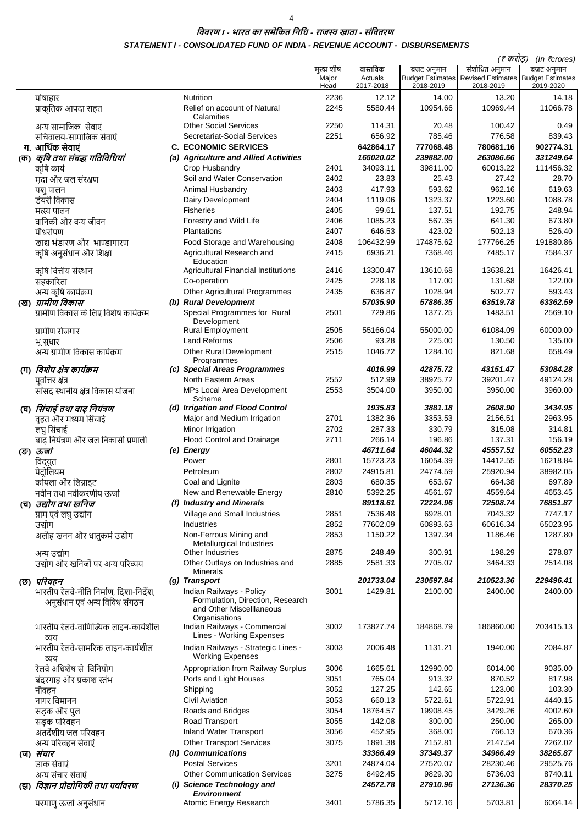$\overline{4}$ 

विवरण । - भारत का समेकित निधि - राजस्व खाता - संवितरण STATEMENT I - CONSOLIDATED FUND OF INDIA - REVENUE ACCOUNT - DISBURSEMENTS

|     |                                          |                                                            |               |                        |                       | (₹ करोड़)                                                            | (In $\bar{\tau}$ crores) |
|-----|------------------------------------------|------------------------------------------------------------|---------------|------------------------|-----------------------|----------------------------------------------------------------------|--------------------------|
|     |                                          |                                                            | मुख्य शीर्ष   | वास्तविक               | बजट अनुमान            | संशोधित अनुमान                                                       | बजट अनुमान               |
|     |                                          |                                                            | Major<br>Head | Actuals<br>2017-2018   | 2018-2019             | Budget Estimates   Revised Estimates   Budget Estimates<br>2018-2019 | 2019-2020                |
|     | पोषाहार                                  | <b>Nutrition</b>                                           | 2236          | 12.12                  | 14.00                 | 13.20                                                                | 14.18                    |
|     | प्राकृतिक आपदा राहत                      | Relief on account of Natural                               | 2245          | 5580.44                | 10954.66              | 10969.44                                                             | 11066.78                 |
|     |                                          | Calamities                                                 |               |                        |                       |                                                                      |                          |
|     | अन्य सामाजिक सेवाएं                      | <b>Other Social Services</b>                               | 2250          | 114.31                 | 20.48                 | 100.42                                                               | 0.49                     |
|     | सचिवालय-सामाजिक सेवाएं                   | Secretariat-Social Services                                | 2251          | 656.92                 | 785.46                | 776.58                                                               | 839.43                   |
|     | ग. आर्थिक सेवाएं                         | <b>C. ECONOMIC SERVICES</b>                                |               | 642864.17<br>165020.02 | 777068.48             | 780681.16<br>263086.66                                               | 902774.31                |
| (ক) | कृषि तथा संबद्ध गतिविधियां<br>कृषि कार्य | (a) Agriculture and Allied Activities<br>Crop Husbandry    | 2401          | 34093.11               | 239882.00<br>39811.00 | 60013.22                                                             | 331249.64<br>111456.32   |
|     | मदा और जल संरक्षण                        | Soil and Water Conservation                                | 2402          | 23.83                  | 25.43                 | 27.42                                                                | 28.70                    |
|     | पशु पालन                                 | Animal Husbandry                                           | 2403          | 417.93                 | 593.62                | 962.16                                                               | 619.63                   |
|     | डेयरी विकास                              | Dairy Development                                          | 2404          | 1119.06                | 1323.37               | 1223.60                                                              | 1088.78                  |
|     | मत्स्य पालन                              | <b>Fisheries</b>                                           | 2405          | 99.61                  | 137.51                | 192.75                                                               | 248.94                   |
|     | वानिकी और वन्य जीवन                      | Forestry and Wild Life                                     | 2406          | 1085.23                | 567.35                | 641.30                                                               | 673.80                   |
|     | पौधरोपण                                  | <b>Plantations</b>                                         | 2407          | 646.53                 | 423.02                | 502.13                                                               | 526.40                   |
|     | खाद्य भंडारण और भाण्डागारण               | Food Storage and Warehousing                               | 2408          | 106432.99              | 174875.62             | 177766.25                                                            | 191880.86                |
|     | कृषि अनुसंधान और शिक्षा                  | Agricultural Research and                                  | 2415          | 6936.21                | 7368.46               | 7485.17                                                              | 7584.37                  |
|     |                                          | Education                                                  |               |                        |                       |                                                                      |                          |
|     | कृषि वित्तीय संस्थान                     | <b>Agricultural Financial Institutions</b><br>Co-operation | 2416<br>2425  | 13300.47<br>228.18     | 13610.68<br>117.00    | 13638.21<br>131.68                                                   | 16426.41<br>122.00       |
|     | सहकारिता<br>अन्य कृषि कार्यक्रम          | Other Agricultural Programmes                              | 2435          | 636.87                 | 1028.94               | 502.77                                                               | 593.43                   |
|     | (ख) ग्रामीण विकास                        | (b) Rural Development                                      |               | 57035.90               | 57886.35              | 63519.78                                                             | 63362.59                 |
|     | ग्रामीण विकास के लिए विशेष कार्यक्रम     | Special Programmes for Rural                               | 2501          | 729.86                 | 1377.25               | 1483.51                                                              | 2569.10                  |
|     |                                          | Development                                                |               |                        |                       |                                                                      |                          |
|     | ग्रामीण रोजगार                           | <b>Rural Employment</b>                                    | 2505          | 55166.04               | 55000.00              | 61084.09                                                             | 60000.00                 |
|     | भू सुधार                                 | Land Reforms                                               | 2506          | 93.28                  | 225.00                | 130.50                                                               | 135.00                   |
|     | अन्य ग्रामीण विकास कार्यक्रम             | <b>Other Rural Development</b>                             | 2515          | 1046.72                | 1284.10               | 821.68                                                               | 658.49                   |
|     | (ग) <i>विशेष क्षेत्र कार्यक्रम</i>       | Programmes<br>(c) Special Areas Programmes                 |               | 4016.99                | 42875.72              | 43151.47                                                             | 53084.28                 |
|     | पूर्वोत्तर क्षेत्र                       | North Eastern Areas                                        | 2552          | 512.99                 | 38925.72              | 39201.47                                                             | 49124.28                 |
|     | सांसद स्थानीय क्षेत्र विकास योजना        | MPs Local Area Development                                 | 2553          | 3504.00                | 3950.00               | 3950.00                                                              | 3960.00                  |
|     |                                          | Scheme                                                     |               |                        |                       |                                                                      |                          |
|     | (घ) <i>सिंचाई तथा बाढ़ नियंत्रण</i>      | (d) Irrigation and Flood Control                           |               | 1935.83                | 3881.18               | 2608.90                                                              | 3434.95                  |
|     | वृहत और मध्यम सिंचाई                     | Major and Medium Irrigation                                | 2701          | 1382.36                | 3353.53               | 2156.51                                                              | 2963.95                  |
|     | लघु सिंचाई                               | Minor Irrigation                                           | 2702          | 287.33                 | 330.79                | 315.08                                                               | 314.81                   |
|     | बाढ़ नियंत्रण और जल निकासी प्रणाली       | <b>Flood Control and Drainage</b>                          | 2711          | 266.14                 | 196.86                | 137.31                                                               | 156.19                   |
|     | (ङ) ऊर्जा                                | (e) Energy                                                 |               | 46711.64               | 46044.32              | 45557.51                                                             | 60552.23                 |
|     | विद्युत                                  | Power                                                      | 2801<br>2802  | 15723.23<br>24915.81   | 16054.39<br>24774.59  | 14412.55<br>25920.94                                                 | 16218.84<br>38982.05     |
|     | पेटोलियम<br>कोयला और लिग्नाइट            | Petroleum<br>Coal and Lignite                              | 2803          | 680.35                 | 653.67                | 664.38                                                               | 697.89                   |
|     | नवीन तथा नवीकरणीय ऊर्जा                  | New and Renewable Energy                                   | 2810          | 5392.25                | 4561.67               | 4559.64                                                              | 4653.45                  |
|     | (च) <i>उद्योग तथा खनिज</i>               | (f) Industry and Minerals                                  |               | 89118.61               | 72224.96              | 72508.74                                                             | 76851.87                 |
|     | ग्राम एवं लघु उद्योग                     | Village and Small Industries                               | 2851          | 7536.48                | 6928.01               | 7043.32                                                              | 7747.17                  |
|     | उद्योग                                   | Industries                                                 | 2852          | 77602.09               | 60893.63              | 60616.34                                                             | 65023.95                 |
|     | अलौह खनन और धातुकर्म उद्योग              | Non-Ferrous Mining and                                     | 2853          | 1150.22                | 1397.34               | 1186.46                                                              | 1287.80                  |
|     |                                          | Metallurgical Industries                                   |               |                        |                       |                                                                      |                          |
|     | अन्य उद्योग                              | Other Industries                                           | 2875          | 248.49                 | 300.91                | 198.29                                                               | 278.87                   |
|     | उद्योग और खनिजों पर अन्य परिव्यय         | Other Outlays on Industries and<br><b>Minerals</b>         | 2885          | 2581.33                | 2705.07               | 3464.33                                                              | 2514.08                  |
|     | (छ) परिवहन                               | (g) Transport                                              |               | 201733.04              | 230597.84             | 210523.36                                                            | 229496.41                |
|     | भारतीय रेलवे-नीति निर्माण, दिशा-निर्देश, | Indian Railways - Policy                                   | 3001          | 1429.81                | 2100.00               | 2400.00                                                              | 2400.00                  |
|     | अनुसंधान एवं अन्य विविध संगठन            | Formulation, Direction, Research                           |               |                        |                       |                                                                      |                          |
|     |                                          | and Other Miscelllaneous<br>Organisations                  |               |                        |                       |                                                                      |                          |
|     | भारतीय रेलवे-वाणिज्यिक लाइन-कार्यशील     | Indian Railways - Commercial                               | 3002          | 173827.74              | 184868.79             | 186860.00                                                            | 203415.13                |
|     | व्यय                                     | Lines - Working Expenses                                   |               |                        |                       |                                                                      |                          |
|     | भारतीय रेलवे-सामरिक लाइन-कार्यशील        | Indian Railways - Strategic Lines -                        | 3003          | 2006.48                | 1131.21               | 1940.00                                                              | 2084.87                  |
|     | व्यय                                     | <b>Working Expenses</b>                                    |               |                        |                       |                                                                      |                          |
|     | रेलवे अधिशेष से विनियोग                  | Appropriation from Railway Surplus                         | 3006          | 1665.61                | 12990.00              | 6014.00                                                              | 9035.00                  |
|     | बंदरगाह और प्रकाश स्तंभ                  | Ports and Light Houses                                     | 3051          | 765.04                 | 913.32                | 870.52                                                               | 817.98                   |
|     | नौवहन                                    | Shipping                                                   | 3052          | 127.25                 | 142.65                | 123.00                                                               | 103.30                   |
|     | नागर विमानन                              | <b>Civil Aviation</b>                                      | 3053          | 660.13                 | 5722.61               | 5722.91                                                              | 4440.15                  |
|     | सड़क और पुल                              | Roads and Bridges                                          | 3054          | 18764.57               | 19908.45              | 3429.26                                                              | 4002.60                  |
|     | सड़क परिवहन                              | Road Transport                                             | 3055          | 142.08                 | 300.00                | 250.00                                                               | 265.00                   |
|     | अंतर्देशीय जल परिवहन                     | <b>Inland Water Transport</b>                              | 3056          | 452.95                 | 368.00                | 766.13                                                               | 670.36                   |
|     | अन्य परिवहन सेवाएं                       | <b>Other Transport Services</b>                            | 3075          | 1891.38                | 2152.81               | 2147.54                                                              | 2262.02                  |
|     | (ज) <i>संचार</i><br>डाक सेवाएं           | (h) Communications<br><b>Postal Services</b>               | 3201          | 33366.49<br>24874.04   | 37349.37<br>27520.07  | 34966.49<br>28230.46                                                 | 38265.87<br>29525.76     |
|     | अन्य संचार सेवाएं                        | <b>Other Communication Services</b>                        | 3275          | 8492.45                | 9829.30               | 6736.03                                                              | 8740.11                  |
| (झ) | विज्ञान प्रौद्योगिकी तथा पर्यावरण        | (i) Science Technology and                                 |               | 24572.78               | 27910.96              | 27136.36                                                             | 28370.25                 |
|     |                                          | <b>Environment</b>                                         |               |                        |                       |                                                                      |                          |
|     | परमाणु ऊर्जा अनुसंधान                    | Atomic Energy Research                                     | 3401          | 5786.35                | 5712.16               | 5703.81                                                              | 6064.14                  |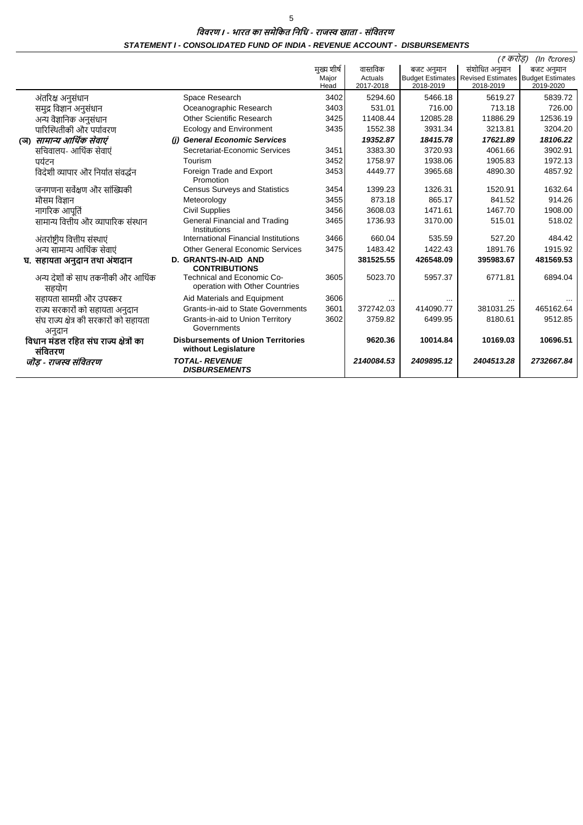विवरण । - भारत का समेकित निधि - राजस्व खाता - संवितरण STATEMENT I - CONSOLIDATED FUND OF INDIA - REVENUE ACCOUNT - DISBURSEMENTS

|     |                                                   |                                                                  |             |            |            | (₹ करांड)                                               | (In $\bar{\tau}$ crores) |
|-----|---------------------------------------------------|------------------------------------------------------------------|-------------|------------|------------|---------------------------------------------------------|--------------------------|
|     |                                                   |                                                                  | मुख्य शीर्ष | वास्तविक   | बजट अनुमान | संशोधित अनुमान                                          | बजट अनुमान               |
|     |                                                   |                                                                  | Major       | Actuals    |            | Budget Estimates   Revised Estimates   Budget Estimates |                          |
|     |                                                   |                                                                  | Head        | 2017-2018  | 2018-2019  | 2018-2019                                               | 2019-2020                |
|     | अंतरिक्ष अनुसंधान                                 | Space Research                                                   | 3402        | 5294.60    | 5466.18    | 5619.27                                                 | 5839.72                  |
|     | समुद्र विज्ञान अनुसंधान                           | Oceanographic Research                                           | 3403        | 531.01     | 716.00     | 713.18                                                  | 726.00                   |
|     | अन्य वैज्ञानिक अनुसंधान                           | Other Scientific Research                                        | 3425        | 11408.44   | 12085.28   | 11886.29                                                | 12536.19                 |
|     | पारिस्थितीकी और पर्यावरण                          | <b>Ecology and Environment</b>                                   | 3435        | 1552.38    | 3931.34    | 3213.81                                                 | 3204.20                  |
| (অ) | सामान्य आर्थिक सेवाएं                             | (i) General Economic Services                                    |             | 19352.87   | 18415.78   | 17621.89                                                | 18106.22                 |
|     | सचिवालय- आर्थिक सेवाएं                            | Secretariat-Economic Services                                    | 3451        | 3383.30    | 3720.93    | 4061.66                                                 | 3902.91                  |
|     | पर्यटन                                            | Tourism                                                          | 3452        | 1758.97    | 1938.06    | 1905.83                                                 | 1972.13                  |
|     | विदेशी व्यापार और निर्यात संवर्द्धन               | Foreign Trade and Export<br>Promotion                            | 3453        | 4449.77    | 3965.68    | 4890.30                                                 | 4857.92                  |
|     | जनगणना सर्वेक्षण और सांख्यिकी                     | <b>Census Surveys and Statistics</b>                             | 3454        | 1399.23    | 1326.31    | 1520.91                                                 | 1632.64                  |
|     | मौसम विज्ञान                                      | Meteorology                                                      | 3455        | 873.18     | 865.17     | 841.52                                                  | 914.26                   |
|     | नागरिक आपर्ति                                     | <b>Civil Supplies</b>                                            | 3456        | 3608.03    | 1471.61    | 1467.70                                                 | 1908.00                  |
|     | सामान्य वित्तीय और व्यापारिक संस्थान              | General Financial and Trading<br>Institutions                    | 3465        | 1736.93    | 3170.00    | 515.01                                                  | 518.02                   |
|     | अंतर्राष्ट्रीय वित्तीय संस्थाएं                   | International Financial Institutions                             | 3466        | 660.04     | 535.59     | 527.20                                                  | 484.42                   |
|     | अन्य सामान्य आर्थिक सेवाएं                        | Other General Economic Services                                  | 3475        | 1483.42    | 1422.43    | 1891.76                                                 | 1915.92                  |
|     | घ. सहायता अनुदान तथा अंशदान                       | <b>D. GRANTS-IN-AID AND</b><br><b>CONTRIBUTIONS</b>              |             | 381525.55  | 426548.09  | 395983.67                                               | 481569.53                |
|     | अन्य देशों के साथ तकनीकी और आर्थिक<br>सहयोग       | Technical and Economic Co-<br>operation with Other Countries     | 3605        | 5023.70    | 5957.37    | 6771.81                                                 | 6894.04                  |
|     | सहायता सामग्री और उपस्कर                          | Aid Materials and Equipment                                      | 3606        |            |            |                                                         |                          |
|     | राज्य सरकारों को सहायता अनुदान                    | Grants-in-aid to State Governments                               | 3601        | 372742.03  | 414090.77  | 381031.25                                               | 465162.64                |
|     | संघ राज्य क्षेत्र की सरकारों को सहायता<br>अनुदान  | Grants-in-aid to Union Territory<br>Governments                  | 3602        | 3759.82    | 6499.95    | 8180.61                                                 | 9512.85                  |
|     | विधान मंडल रहित संघ राज्य क्षेत्रों का<br>संवितरण | <b>Disbursements of Union Territories</b><br>without Legislature |             | 9620.36    | 10014.84   | 10169.03                                                | 10696.51                 |
|     | जॊड - राजस्व संवितरण                              | <b>TOTAL- REVENUE</b><br><b>DISBURSEMENTS</b>                    |             | 2140084.53 | 2409895.12 | 2404513.28                                              | 2732667.84               |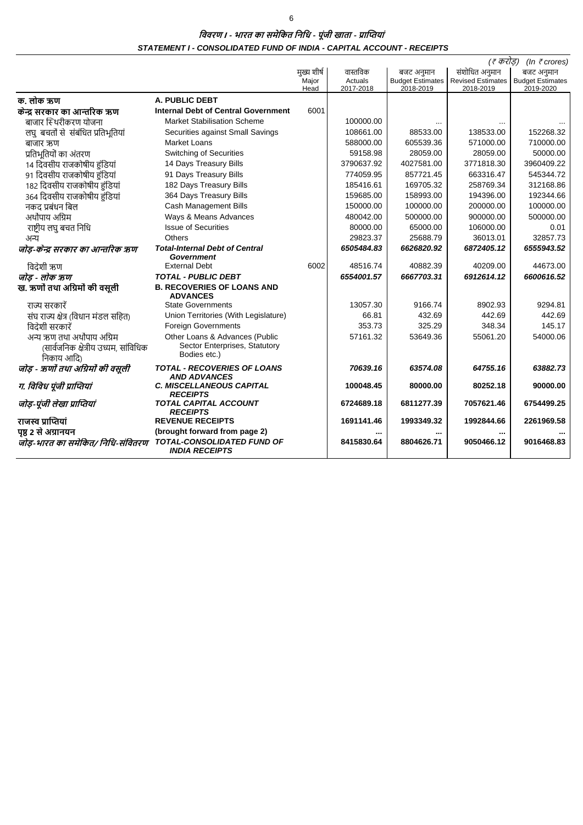विवरण । - भारत का समेकित निधि - पूंजी खाता - प्राप्तियां STATEMENT I - CONSOLIDATED FUND OF INDIA - CAPITAL ACCOUNT - RECEIPTS

|                                                    |                                                            |               | (₹ करोड़)<br>(In $\bar{\tau}$ crores) |                                      |                                       |                                      |
|----------------------------------------------------|------------------------------------------------------------|---------------|---------------------------------------|--------------------------------------|---------------------------------------|--------------------------------------|
|                                                    |                                                            | मख्य शीर्ष    | वास्तविक                              | बजट अनुमान                           | संशोधित अनुमान                        | बजट अनुमान                           |
|                                                    |                                                            | Major<br>Head | Actuals<br>2017-2018                  | <b>Budget Estimates</b><br>2018-2019 | <b>Revised Estimates</b><br>2018-2019 | <b>Budget Estimates</b><br>2019-2020 |
| क. लोक ऋण                                          | <b>A. PUBLIC DEBT</b>                                      |               |                                       |                                      |                                       |                                      |
| केन्द्र सरकार का आन्तरिक ऋण                        | <b>Internal Debt of Central Government</b>                 | 6001          |                                       |                                      |                                       |                                      |
| बाजार स्थिरीकरण योजना                              | <b>Market Stabilisation Scheme</b>                         |               | 100000.00                             |                                      |                                       |                                      |
|                                                    | Securities against Small Savings                           |               | 108661.00                             | 88533.00                             | 138533.00                             | 152268.32                            |
| लघु बचतों से संबंधित प्रतिभूतियां                  | <b>Market Loans</b>                                        |               | 588000.00                             | 605539.36                            | 571000.00                             | 710000.00                            |
| बाजार ऋण<br>प्रतिभूतियों का अंतरण                  | <b>Switching of Securities</b>                             |               | 59158.98                              | 28059.00                             | 28059.00                              | 50000.00                             |
| 14 दिवसीय राजकोषीय हंडियां                         | 14 Days Treasury Bills                                     |               | 3790637.92                            | 4027581.00                           | 3771818.30                            | 3960409.22                           |
|                                                    |                                                            |               | 774059.95                             | 857721.45                            | 663316.47                             | 545344.72                            |
| 91 दिवसीय राजकोषीय हंडियां                         | 91 Days Treasury Bills<br>182 Days Treasury Bills          |               |                                       | 169705.32                            |                                       | 312168.86                            |
| 182 दिवसीय राजकोषीय हंडियां                        |                                                            |               | 185416.61                             |                                      | 258769.34                             |                                      |
| 364 दिवसीय राजकोषीय हुंडियां                       | 364 Days Treasury Bills                                    |               | 159685.00                             | 158993.00                            | 194396.00                             | 192344.66                            |
| नकद प्रबंधन बिल                                    | <b>Cash Management Bills</b>                               |               | 150000.00                             | 100000.00                            | 200000.00                             | 100000.00                            |
| अर्थोपाय अग्रिम                                    | Ways & Means Advances                                      |               | 480042.00                             | 500000.00                            | 900000.00                             | 500000.00                            |
| राष्ट्रीय लघु बचत निधि                             | <b>Issue of Securities</b>                                 |               | 80000.00                              | 65000.00                             | 106000.00                             | 0.01                                 |
| अन्य                                               | <b>Others</b>                                              |               | 29823.37                              | 25688.79                             | 36013.01                              | 32857.73                             |
| जोड़-केन्द्र सरकार का आन्तरिक ऋण                   | <b>Total-Internal Debt of Central</b><br><b>Government</b> |               | 6505484.83                            | 6626820.92                           | 6872405.12                            | 6555943.52                           |
| विदेशी ऋण                                          | <b>External Debt</b>                                       | 6002          | 48516.74                              | 40882.39                             | 40209.00                              | 44673.00                             |
| जोड - लोक ऋण                                       | <b>TOTAL - PUBLIC DEBT</b>                                 |               | 6554001.57                            | 6667703.31                           | 6912614.12                            | 6600616.52                           |
| ख. ऋणों तथा अग्रिमों की वसूली                      | <b>B. RECOVERIES OF LOANS AND</b><br><b>ADVANCES</b>       |               |                                       |                                      |                                       |                                      |
| राज्य सरकारें                                      | <b>State Governments</b>                                   |               | 13057.30                              | 9166.74                              | 8902.93                               | 9294.81                              |
| संघ राज्य क्षेत्र (विधान मंडल सहित)                | Union Territories (With Legislature)                       |               | 66.81                                 | 432.69                               | 442.69                                | 442.69                               |
| विदेशी सरकारें                                     | <b>Foreign Governments</b>                                 |               | 353.73                                | 325.29                               | 348.34                                | 145.17                               |
| अन्य ऋण तथा अर्थोपाय अग्रिम                        | Other Loans & Advances (Public                             |               | 57161.32                              | 53649.36                             | 55061.20                              | 54000.06                             |
| (सार्वजनिक क्षेत्रीय उध्यम, सांविधिक<br>निकाय आदि) | Sector Enterprises, Statutory<br>Bodies etc.)              |               |                                       |                                      |                                       |                                      |
| जोड - ऋणों तथा अग्रिमों की वसूली                   | <b>TOTAL - RECOVERIES OF LOANS</b><br><b>AND ADVANCES</b>  |               | 70639.16                              | 63574.08                             | 64755.16                              | 63882.73                             |
| ग. विविध पूंजी प्राप्तियां                         | <b>C. MISCELLANEOUS CAPITAL</b><br><b>RECEIPTS</b>         |               | 100048.45                             | 80000.00                             | 80252.18                              | 90000.00                             |
| जोड़-पूंजी लेखा प्राप्तियां                        | <b>TOTAL CAPITAL ACCOUNT</b><br><b>RECEIPTS</b>            |               | 6724689.18                            | 6811277.39                           | 7057621.46                            | 6754499.25                           |
| राजस्व प्राप्तियां                                 | <b>REVENUE RECEIPTS</b>                                    |               | 1691141.46                            | 1993349.32                           | 1992844.66                            | 2261969.58                           |
| पष्ठ 2 से अग्रानयन                                 | (brought forward from page 2)                              |               |                                       |                                      |                                       |                                      |
| जोड-भारत का समेकित/ निधि-संवितरण                   | TOTAL-CONSOLIDATED FUND OF<br><b>INDIA RECEIPTS</b>        |               | 8415830.64                            | 8804626.71                           | 9050466.12                            | 9016468.83                           |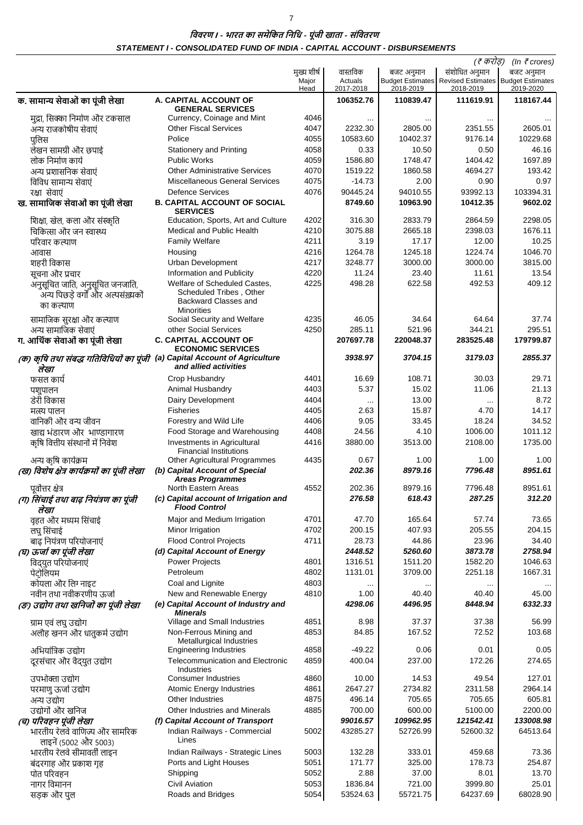$\overline{7}$ 

विवरण । - भारत का समेकित निधि - पूंजी खाता - संवितरण STATEMENT I - CONSOLIDATED FUND OF INDIA - CAPITAL ACCOUNT - DISBURSEMENTS

|                                                                                    |                                                                                                      |                              |                                  |                         | (₹ करोड़)                                                                                 | (In $\bar{\tau}$ crores) |
|------------------------------------------------------------------------------------|------------------------------------------------------------------------------------------------------|------------------------------|----------------------------------|-------------------------|-------------------------------------------------------------------------------------------|--------------------------|
|                                                                                    |                                                                                                      | मुख्य शीर्ष<br>Major<br>Head | वास्तविक<br>Actuals<br>2017-2018 | बजट अनुमान<br>2018-2019 | संशोधित अनुमान<br><b>Budget Estimates Revised Estimates Budget Estimates</b><br>2018-2019 | बजट अनुमान<br>2019-2020  |
| क. सामान्य सेवाओं का पूंजी लेखा                                                    | A. CAPITAL ACCOUNT OF<br><b>GENERAL SERVICES</b>                                                     |                              | 106352.76                        | 110839.47               | 111619.91                                                                                 | 118167.44                |
| मुद्रा, सिक्का निर्माण और टकसाल                                                    | Currency, Coinage and Mint                                                                           | 4046                         | $\ddotsc$                        |                         |                                                                                           |                          |
| अन्य राजकोषीय सेवाएं                                                               | <b>Other Fiscal Services</b>                                                                         | 4047                         | 2232.30                          | 2805.00                 | 2351.55                                                                                   | 2605.01                  |
| पुलिस                                                                              | Police                                                                                               | 4055                         | 10583.60                         | 10402.37                | 9176.14                                                                                   | 10229.68                 |
| लेखन सामग्री और छपाई                                                               | <b>Stationery and Printing</b>                                                                       | 4058                         | 0.33                             | 10.50                   | 0.50                                                                                      | 46.16                    |
| लोक निर्माण कार्य                                                                  | <b>Public Works</b>                                                                                  | 4059                         | 1586.80                          | 1748.47                 | 1404.42                                                                                   | 1697.89                  |
| अन्य प्रशासनिक सेवाएं                                                              | <b>Other Administrative Services</b><br><b>Miscellaneous General Services</b>                        | 4070<br>4075                 | 1519.22<br>$-14.73$              | 1860.58<br>2.00         | 4694.27<br>0.90                                                                           | 193.42<br>0.97           |
| विविध सामान्य सेवाएं<br>रक्षा सेवाएं                                               | <b>Defence Services</b>                                                                              | 4076                         | 90445.24                         | 94010.55                | 93992.13                                                                                  | 103394.31                |
| ख. सामाजिक सेवाओं का पूंजी लेखा                                                    | <b>B. CAPITAL ACCOUNT OF SOCIAL</b><br><b>SERVICES</b>                                               |                              | 8749.60                          | 10963.90                | 10412.35                                                                                  | 9602.02                  |
| शिक्षा, खेल, कला और संस्कृति                                                       | Education, Sports, Art and Culture                                                                   | 4202                         | 316.30                           | 2833.79                 | 2864.59                                                                                   | 2298.05                  |
| चिकित्सा और जन स्वास्थ्य                                                           | <b>Medical and Public Health</b>                                                                     | 4210                         | 3075.88                          | 2665.18                 | 2398.03                                                                                   | 1676.11                  |
| परिवार कल्याण                                                                      | <b>Family Welfare</b>                                                                                | 4211                         | 3.19                             | 17.17                   | 12.00                                                                                     | 10.25                    |
| आवास                                                                               | Housing                                                                                              | 4216                         | 1264.78                          | 1245.18                 | 1224.74                                                                                   | 1046.70                  |
| शहरी विकास                                                                         | Urban Development                                                                                    | 4217                         | 3248.77                          | 3000.00                 | 3000.00                                                                                   | 3815.00                  |
| सूचना और प्रचार                                                                    | Information and Publicity                                                                            | 4220                         | 11.24                            | 23.40                   | 11.61                                                                                     | 13.54                    |
| अनुसूचित जाति, अनुसूचित जनजाति,<br>अन्य पिछड़े वर्गों और अल्पसंख्यकों<br>का कल्याण | Welfare of Scheduled Castes,<br>Scheduled Tribes, Other<br>Backward Classes and<br><b>Minorities</b> | 4225                         | 498.28                           | 622.58                  | 492.53                                                                                    | 409.12                   |
| सामाजिक सुरक्षा और कल्याण                                                          | Social Security and Welfare                                                                          | 4235                         | 46.05                            | 34.64                   | 64.64                                                                                     | 37.74                    |
| अन्य सामाजिक सेवाएं<br>ग. आर्थिक सेवाओं का पूंजी लेखा                              | other Social Services<br><b>C. CAPITAL ACCOUNT OF</b><br><b>ECONOMIC SERVICES</b>                    | 4250                         | 285.11<br>207697.78              | 521.96<br>220048.37     | 344.21<br>283525.48                                                                       | 295.51<br>179799.87      |
| (क) कृषि तथा संबद्ध गतिविधियों का पूंजी (a) Capital Account of Agriculture<br>लेखा | and allied activities                                                                                |                              | 3938.97                          | 3704.15                 | 3179.03                                                                                   | 2855.37                  |
| फसल कार्य                                                                          | Crop Husbandry                                                                                       | 4401                         | 16.69                            | 108.71                  | 30.03                                                                                     | 29.71                    |
| पशुपालन                                                                            | Animal Husbandry                                                                                     | 4403                         | 5.37                             | 15.02                   | 11.06                                                                                     | 21.13                    |
| डेरी विकास                                                                         | Dairy Development                                                                                    | 4404                         | $\cdots$                         | 13.00                   |                                                                                           | 8.72                     |
| मत्स्य पालन                                                                        | <b>Fisheries</b>                                                                                     | 4405                         | 2.63                             | 15.87                   | 4.70                                                                                      | 14.17                    |
| वानिकी और वन्य जीवन                                                                | Forestry and Wild Life                                                                               | 4406                         | 9.05                             | 33.45                   | 18.24                                                                                     | 34.52                    |
| खाद्य भंडारण और भाण्डागारण                                                         | Food Storage and Warehousing                                                                         | 4408                         | 24.56                            | 4.10                    | 1006.00                                                                                   | 1011.12                  |
| कृषि वित्तीय संस्थानों में निवेश                                                   | <b>Investments in Agricultural</b><br><b>Financial Institutions</b>                                  | 4416                         | 3880.00                          | 3513.00                 | 2108.00                                                                                   | 1735.00                  |
| अन्य कृषि कार्यक्रम                                                                | Other Agricultural Programmes                                                                        | 4435                         | 0.67                             | 1.00                    | 1.00                                                                                      | 1.00                     |
| (ख) विशेष क्षेत्र कार्यक्रमों का पूंजी लेखा<br>पूर्वोत्तर क्षेत्र                  | (b) Capital Account of Special<br>Areas Programmes<br>North Eastern Areas                            | 4552                         | 202.36<br>202.36                 | 8979.16<br>8979.16      | 7796.48<br>7796.48                                                                        | 8951.61<br>8951.61       |
| (ग) सिंचाई तथा बाढ़ नियंत्रण का पूंजी<br>लेखा                                      | (c) Capital account of Irrigation and<br><b>Flood Control</b>                                        |                              | 276.58                           | 618.43                  | 287.25                                                                                    | 312.20                   |
| वृहत और मध्यम सिंचाई                                                               | Major and Medium Irrigation                                                                          | 4701                         | 47.70                            | 165.64                  | 57.74                                                                                     | 73.65                    |
| लघु सिंचाई                                                                         | Minor Irrigation                                                                                     | 4702                         | 200.15                           | 407.93                  | 205.55                                                                                    | 204.15                   |
| बाढ़ नियंत्रण परियोजनाएं                                                           | <b>Flood Control Projects</b>                                                                        | 4711                         | 28.73                            | 44.86                   | 23.96                                                                                     | 34.40                    |
| (घ) ऊर्जा का पूंजी लेखा                                                            | (d) Capital Account of Energy                                                                        |                              | 2448.52                          | 5260.60                 | 3873.78                                                                                   | 2758.94                  |
| विद्युत परियोजनाएं                                                                 | <b>Power Projects</b>                                                                                | 4801                         | 1316.51                          | 1511.20                 | 1582.20                                                                                   | 1046.63                  |
| पेटोलियम                                                                           | Petroleum                                                                                            | 4802                         | 1131.01                          | 3709.00                 | 2251.18                                                                                   | 1667.31                  |
| कोयला और लिग् नाइट                                                                 | Coal and Lignite                                                                                     | 4803                         |                                  |                         |                                                                                           |                          |
| नवीन तथा नवीकरणीय ऊर्जा<br>(ङ) उद्योग तथा खनिजों का पूंजी लेखा                     | New and Renewable Energy<br>(e) Capital Account of Industry and<br>Minerals                          | 4810                         | 1.00<br>4298.06                  | 40.40<br>4496.95        | 40.40<br>8448.94                                                                          | 45.00<br>6332.33         |
| ग्राम एवं लघु उद्योग                                                               | Village and Small Industries                                                                         | 4851                         | 8.98                             | 37.37                   | 37.38                                                                                     | 56.99                    |
| अलौह खनन और धातुकर्म उद्योग                                                        | Non-Ferrous Mining and<br>Metallurgical Industries                                                   | 4853                         | 84.85                            | 167.52                  | 72.52                                                                                     | 103.68                   |
| अभियांत्रिक उद्योग                                                                 | <b>Engineering Industries</b>                                                                        | 4858                         | $-49.22$                         | 0.06                    | 0.01                                                                                      | 0.05                     |
| दूरसंचार और वैद्युत उद्योग<br>उपभोक्ता उद्योग                                      | <b>Telecommunication and Electronic</b><br>Industries<br>Consumer Industries                         | 4859<br>4860                 | 400.04<br>10.00                  | 237.00<br>14.53         | 172.26<br>49.54                                                                           | 274.65<br>127.01         |
| परमाणु ऊर्जा उद्योग                                                                | <b>Atomic Energy Industries</b>                                                                      | 4861                         | 2647.27                          | 2734.82                 | 2311.58                                                                                   | 2964.14                  |
| अन्य उद्योग                                                                        | Other Industries                                                                                     | 4875                         | 496.14                           | 705.65                  | 705.65                                                                                    | 605.81                   |
| उद्योगों और खनिज                                                                   | Other Industries and Minerals                                                                        | 4885                         | 700.00                           | 600.00                  | 5100.00                                                                                   | 2200.00                  |
| (च) परिवहन पूंजी लेखा                                                              | (f) Capital Account of Transport                                                                     |                              | 99016.57                         | 109962.95               | 121542.41                                                                                 | 133008.98                |
| भारतीय रेलवे वाणिज्य और सामरिक<br>लाइनें (5002 और 5003)                            | Indian Railways - Commercial<br>Lines                                                                | 5002                         | 43285.27                         | 52726.99                | 52600.32                                                                                  | 64513.64                 |
| भारतीय रेलवे सीमावर्ती लाइन                                                        | Indian Railways - Strategic Lines                                                                    | 5003                         | 132.28                           | 333.01                  | 459.68                                                                                    | 73.36                    |
| बंदरगाह और प्रकाश गृह                                                              | Ports and Light Houses                                                                               | 5051                         | 171.77                           | 325.00                  | 178.73                                                                                    | 254.87                   |
| पोत परिवहन                                                                         | Shipping                                                                                             | 5052                         | 2.88                             | 37.00                   | 8.01                                                                                      | 13.70                    |
| नागर विमानन                                                                        | Civil Aviation                                                                                       | 5053                         | 1836.84                          | 721.00                  | 3999.80                                                                                   | 25.01                    |
| सड़क और पुल                                                                        | Roads and Bridges                                                                                    | 5054                         | 53524.63                         | 55721.75                | 64237.69                                                                                  | 68028.90                 |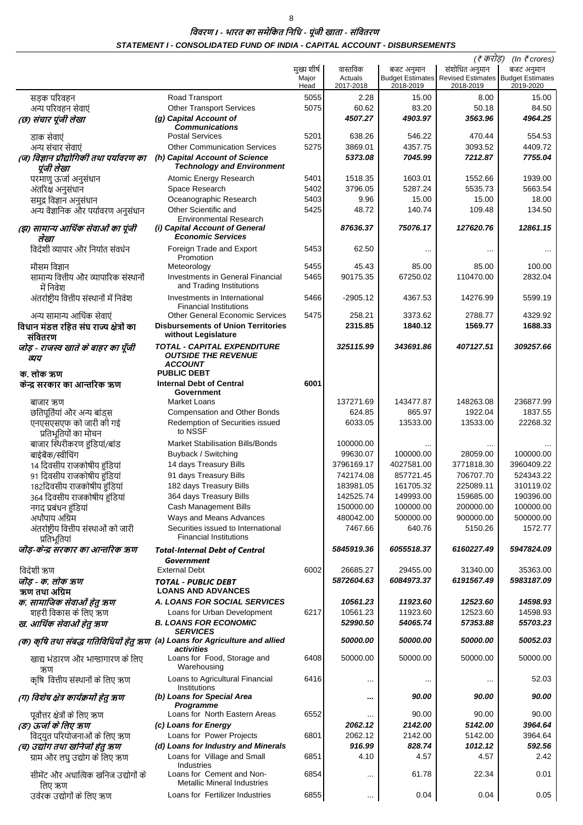$\bf 8$ 

विवरण । - भारत का समेकित निधि - पूंजी खाता - संवितरण STATEMENT I - CONSOLIDATED FUND OF INDIA - CAPITAL ACCOUNT - DISBURSEMENTS

| (₹ करोड़)<br>(In $\bar{\tau}$ crores)                                |                                                                                                |                              |                                  |                         |                                                                                           |                         |  |
|----------------------------------------------------------------------|------------------------------------------------------------------------------------------------|------------------------------|----------------------------------|-------------------------|-------------------------------------------------------------------------------------------|-------------------------|--|
|                                                                      |                                                                                                | मुख्य शीर्ष<br>Major<br>Head | वास्तविक<br>Actuals<br>2017-2018 | बजट अनुमान<br>2018-2019 | संशोधित अनुमान<br><b>Budget Estimates Revised Estimates Budget Estimates</b><br>2018-2019 | बजट अनुमान<br>2019-2020 |  |
| सड़क परिवहन                                                          | Road Transport                                                                                 | 5055                         | 2.28                             | 15.00                   | 8.00                                                                                      | 15.00                   |  |
| अन्य परिवहन सेवाएं                                                   | <b>Other Transport Services</b>                                                                | 5075                         | 60.62                            | 83.20                   | 50.18                                                                                     | 84.50                   |  |
| (छ) संचार पूंजी लेखा                                                 | (g) Capital Account of<br><b>Communications</b>                                                |                              | 4507.27                          | 4903.97                 | 3563.96                                                                                   | 4964.25                 |  |
| डाक सेवाएं                                                           | <b>Postal Services</b>                                                                         | 5201                         | 638.26                           | 546.22                  | 470.44                                                                                    | 554.53                  |  |
| अन्य संचार सेवाएं                                                    | <b>Other Communication Services</b>                                                            | 5275                         | 3869.01                          | 4357.75                 | 3093.52                                                                                   | 4409.72                 |  |
| (ज) विज्ञान प्रौद्योगिकी तथा पर्यावरण का                             | (h) Capital Account of Science                                                                 |                              | 5373.08                          | 7045.99                 | 7212.87                                                                                   | 7755.04                 |  |
| पूंजी लेखा                                                           | <b>Technology and Environment</b>                                                              |                              |                                  |                         |                                                                                           |                         |  |
| परमाणु ऊर्जा अनुसंधान<br>अंतरिक्ष अनुसंधान                           | Atomic Energy Research<br>Space Research                                                       | 5401<br>5402                 | 1518.35<br>3796.05               | 1603.01<br>5287.24      | 1552.66<br>5535.73                                                                        | 1939.00<br>5663.54      |  |
| समुद्र विज्ञान अनुसंधान                                              | Oceanographic Research                                                                         | 5403                         | 9.96                             | 15.00                   | 15.00                                                                                     | 18.00                   |  |
| अन्य वैज्ञानिक और पर्यावरण अनुसंधान                                  | Other Scientific and                                                                           | 5425                         | 48.72                            | 140.74                  | 109.48                                                                                    | 134.50                  |  |
|                                                                      | <b>Environmental Research</b>                                                                  |                              |                                  |                         |                                                                                           |                         |  |
| (झ) सामान्य आर्थिक सेवाओं का पूंजी<br>लेखा                           | (i) Capital Account of General<br><b>Economic Services</b>                                     |                              | 87636.37                         | 75076.17                | 127620.76                                                                                 | 12861.15                |  |
| विदेशी व्यापार और निर्यात संवर्धन                                    | Foreign Trade and Export                                                                       | 5453                         | 62.50                            | $\ddotsc$               |                                                                                           |                         |  |
|                                                                      | Promotion                                                                                      |                              |                                  |                         |                                                                                           |                         |  |
| मौसम विज्ञान                                                         | Meteorology                                                                                    | 5455<br>5465                 | 45.43<br>90175.35                | 85.00<br>67250.02       | 85.00<br>110470.00                                                                        | 100.00<br>2832.04       |  |
| सामान्य वित्तीय और व्यापारिक संस्थानों<br>में निवेश                  | Investments in General Financial<br>and Trading Institutions                                   |                              |                                  |                         |                                                                                           |                         |  |
| अंतर्राष्ट्रीय वित्तीय संस्थानों में निवेश                           | Investments in International                                                                   | 5466                         | $-2905.12$                       | 4367.53                 | 14276.99                                                                                  | 5599.19                 |  |
|                                                                      | <b>Financial Institutions</b>                                                                  |                              |                                  |                         |                                                                                           |                         |  |
| अन्य सामान्य आर्थिक सेवाएं<br>विधान मंडल रहित संघ राज्य क्षेत्रों का | <b>Other General Economic Services</b><br><b>Disbursements of Union Territories</b>            | 5475                         | 258.21<br>2315.85                | 3373.62<br>1840.12      | 2788.77<br>1569.77                                                                        | 4329.92<br>1688.33      |  |
| संवितरण                                                              | without Legislature                                                                            |                              |                                  |                         |                                                                                           |                         |  |
| जोड़ - राजस्व खाते के बाहर का पूँजी<br>व्यय                          | TOTAL - CAPITAL EXPENDITURE<br><b>OUTSIDE THE REVENUE</b>                                      |                              | 325115.99                        | 343691.86               | 407127.51                                                                                 | 309257.66               |  |
| क. लोक ऋण                                                            | <b>ACCOUNT</b><br><b>PUBLIC DEBT</b>                                                           |                              |                                  |                         |                                                                                           |                         |  |
| केन्द्र सरकार का आन्तरिक ऋण                                          | <b>Internal Debt of Central</b>                                                                | 6001                         |                                  |                         |                                                                                           |                         |  |
|                                                                      | Government                                                                                     |                              |                                  |                         |                                                                                           |                         |  |
| बाजार ऋण                                                             | Market Loans                                                                                   |                              | 137271.69                        | 143477.87               | 148263.08<br>1922.04                                                                      | 236877.99<br>1837.55    |  |
| छतिपूर्तियां और अन्य बांड्स<br>एनएसएसएफ को जारी की गई                | <b>Compensation and Other Bonds</b><br>Redemption of Securities issued                         |                              | 624.85<br>6033.05                | 865.97<br>13533.00      | 13533.00                                                                                  | 22268.32                |  |
| प्रतिभूतियों का मोचन                                                 | to NSSF                                                                                        |                              |                                  |                         |                                                                                           |                         |  |
| बाजार स्थिरीकरण हुंडियां/बांड                                        | <b>Market Stabilisation Bills/Bonds</b>                                                        |                              | 100000.00                        |                         |                                                                                           |                         |  |
| बाईबैक/स्वीचिंग                                                      | Buyback / Switching                                                                            |                              | 99630.07                         | 100000.00               | 28059.00                                                                                  | 100000.00               |  |
| 14 दिवसीय राजकोषीय हुंडियां                                          | 14 days Treasury Bills<br>91 days Treasury Bills                                               |                              | 3796169.17<br>742174.08          | 4027581.00<br>857721.45 | 3771818.30<br>706707.70                                                                   | 3960409.22<br>524343.22 |  |
| 91 दिवसीय राजकोषीय हुंडियां<br>182दिवसीय राजकोषीय हुंडियां           | 182 days Treasury Bills                                                                        |                              | 183981.05                        | 161705.32               | 225089.11                                                                                 | 310119.02               |  |
| 364 दिवसीय राजकोषीय हुंडियां                                         | 364 days Treasury Bills                                                                        |                              | 142525.74                        | 149993.00               | 159685.00                                                                                 | 190396.00               |  |
| नगद प्रबंधन हुंडियां                                                 | Cash Management Bills                                                                          |                              | 150000.00                        | 100000.00               | 200000.00                                                                                 | 100000.00               |  |
| अर्थोपाय अग्रिम                                                      | Ways and Means Advances                                                                        |                              | 480042.00                        | 500000.00               | 900000.00                                                                                 | 500000.00               |  |
| अंतर्राष्ट्रीय वित्तीय संस्थाओं को जारी                              | Securities issued to International<br><b>Financial Institutions</b>                            |                              | 7467.66                          | 640.76                  | 5150.26                                                                                   | 1572.77                 |  |
| प्रतिभूतियां<br>जॊड़-केन्द्र सरकार का आन्तरिक ऋण                     | <b>Total-Internal Debt of Central</b>                                                          |                              | 5845919.36                       | 6055518.37              | 6160227.49                                                                                | 5947824.09              |  |
|                                                                      | Government                                                                                     |                              |                                  |                         |                                                                                           |                         |  |
| विदेशी ऋण                                                            | <b>External Debt</b>                                                                           | 6002                         | 26685.27                         | 29455.00                | 31340.00                                                                                  | 35363.00                |  |
| जॊड़ - क. लोक ऋण                                                     | <b>TOTAL - PUBLIC DEBT</b>                                                                     |                              | 5872604.63                       | 6084973.37              | 6191567.49                                                                                | 5983187.09              |  |
| ऋण तथा अग्रिम                                                        | <b>LOANS AND ADVANCES</b>                                                                      |                              |                                  |                         | 12523.60                                                                                  |                         |  |
| क. सामाजिक सेवाओं हेतु ऋण<br>शहरी विकास के लिए ऋण                    | <b>A. LOANS FOR SOCIAL SERVICES</b><br>Loans for Urban Development                             | 6217                         | 10561.23<br>10561.23             | 11923.60<br>11923.60    | 12523.60                                                                                  | 14598.93<br>14598.93    |  |
| ख. आर्थिक सेवाओं हेतु ऋण                                             | <b>B. LOANS FOR ECONOMIC</b>                                                                   |                              | 52990.50                         | 54065.74                | 57353.88                                                                                  | 55703.23                |  |
|                                                                      | <b>SERVICES</b><br>(क) कृषि तथा संबद्ध गतिविधियों हेतु ऋण (a) Loans for Agriculture and allied |                              | 50000.00                         | 50000.00                | 50000.00                                                                                  | 50052.03                |  |
| खाद्य भंडारण और भान्डागारण के लिए                                    | activities<br>Loans for Food, Storage and<br>Warehousing                                       | 6408                         | 50000.00                         | 50000.00                | 50000.00                                                                                  | 50000.00                |  |
| ऋण<br>कृषि वित्तीय संस्थानों के लिए ऋण                               | Loans to Agricultural Financial<br>Institutions                                                | 6416                         | $\ddotsc$                        | $\ddotsc$               |                                                                                           | 52.03                   |  |
| (ग) विशेष क्षेत्र कार्यक्रमों हेतु ऋण                                | (b) Loans for Special Area<br>Programme                                                        |                              |                                  | 90.00                   | 90.00                                                                                     | 90.00                   |  |
| पूर्वोत्तर क्षेत्रों के लिए ऋण                                       | Loans for North Eastern Areas                                                                  | 6552                         | $\cdots$                         | 90.00                   | 90.00                                                                                     | 90.00                   |  |
| (ङ) ऊर्जा के लिए ऋण                                                  | (c) Loans for Energy                                                                           |                              | 2062.12                          | 2142.00                 | 5142.00                                                                                   | 3964.64                 |  |
| विद्युत परियोजनाओं के लिए ऋण<br>(च) उद्योग तथा खनिजों हेतु ऋण        | Loans for Power Projects<br>(d) Loans for Industry and Minerals                                | 6801                         | 2062.12<br>916.99                | 2142.00<br>828.74       | 5142.00<br>1012.12                                                                        | 3964.64<br>592.56       |  |
| ग्राम और लघु उद्योग के लिए ऋण                                        | Loans for Village and Small                                                                    | 6851                         | 4.10                             | 4.57                    | 4.57                                                                                      | 2.42                    |  |
|                                                                      | Industries                                                                                     |                              |                                  |                         |                                                                                           |                         |  |
| सीमेंट और अधात्विक खनिज उद्योगों के<br>लिए ऋण                        | Loans for Cement and Non-<br><b>Metallic Mineral Industries</b>                                | 6854                         | $\ddotsc$                        | 61.78                   | 22.34                                                                                     | 0.01                    |  |
| उर्वरक उद्योगों के लिए ऋण                                            | Loans for Fertilizer Industries                                                                | 6855                         | $\ldots$                         | 0.04                    | 0.04                                                                                      | 0.05                    |  |
|                                                                      |                                                                                                |                              |                                  |                         |                                                                                           |                         |  |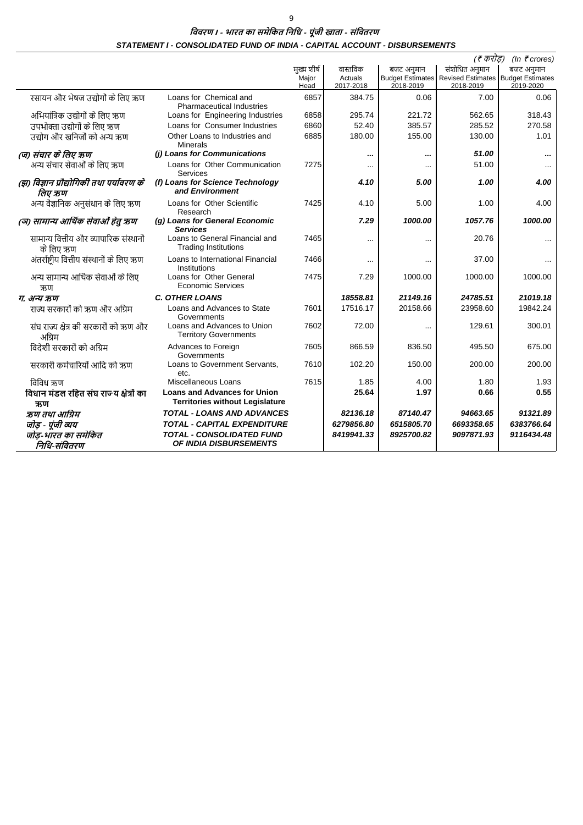विवरण । - भारत का समेकित निधि - पूंजी खाता - संवितरण STATEMENT I - CONSOLIDATED FUND OF INDIA - CAPITAL ACCOUNT - DISBURSEMENTS

|                                                     |                                                                               |               |                      |            | (र करोड़)                                                        | (In $\bar{\tau}$ crores) |
|-----------------------------------------------------|-------------------------------------------------------------------------------|---------------|----------------------|------------|------------------------------------------------------------------|--------------------------|
|                                                     |                                                                               | मख्य शीर्ष    | वास्तविक             | बजट अनुमान | संशोधित अनुमान                                                   | बजट अनुमान               |
|                                                     |                                                                               | Major<br>Head | Actuals<br>2017-2018 | 2018-2019  | Budget Estimates Revised Estimates Budget Estimates<br>2018-2019 | 2019-2020                |
| रसायन और भेषज उद्योगों के लिए ऋण                    | Loans for Chemical and<br><b>Pharmaceutical Industries</b>                    | 6857          | 384.75               | 0.06       | 7.00                                                             | 0.06                     |
| अभियांत्रिक उद्योगों के लिए ऋण                      | Loans for Engineering Industries                                              | 6858          | 295.74               | 221.72     | 562.65                                                           | 318.43                   |
| उपभोक्ता उद्योगों के लिए ऋण                         | Loans for Consumer Industries                                                 | 6860          | 52.40                | 385.57     | 285.52                                                           | 270.58                   |
| उद्योग और खनिजों को अन्य ऋण                         | Other Loans to Industries and<br><b>Minerals</b>                              | 6885          | 180.00               | 155.00     | 130.00                                                           | 1.01                     |
| (ज) संचार के लिए ऋण                                 | (i) Loans for Communications                                                  |               |                      |            | 51.00                                                            |                          |
| अन्य संचार सेवाओं के लिए ऋण                         | Loans for Other Communication<br>Services                                     | 7275          |                      |            | 51.00                                                            |                          |
| (झ) विज्ञान प्रौद्योगिकी तथा पर्यावरण के<br>लिए ऋण  | (f) Loans for Science Technology<br>and Environment                           |               | 4.10                 | 5.00       | 1.00                                                             | 4.00                     |
| अन्य वैज्ञानिक अनुसंधान के लिए ऋण                   | Loans for Other Scientific<br>Research                                        | 7425          | 4.10                 | 5.00       | 1.00                                                             | 4.00                     |
| (ञ) सामान्य आर्थिक सेवाओं हेतू ऋण                   | (g) Loans for General Economic<br><b>Services</b>                             |               | 7.29                 | 1000.00    | 1057.76                                                          | 1000.00                  |
| सामान्य वित्तीय और व्यापारिक संस्थानों<br>के लिए ऋण | Loans to General Financial and<br><b>Trading Institutions</b>                 | 7465          |                      | $\cdots$   | 20.76                                                            | $\cdots$                 |
| अंतर्राष्ट्रीय वित्तीय संस्थानों के लिए ऋण          | Loans to International Financial<br>Institutions                              | 7466          | $\cdots$             |            | 37.00                                                            |                          |
| अन्य सामान्य आर्थिक सेवाओं के लिए<br>ऋण             | Loans for Other General<br><b>Economic Services</b>                           | 7475          | 7.29                 | 1000.00    | 1000.00                                                          | 1000.00                  |
| ग. अन्य ऋण                                          | <b>C. OTHER LOANS</b>                                                         |               | 18558.81             | 21149.16   | 24785.51                                                         | 21019.18                 |
| राज्य सरकारों को ऋण और अग्रिम                       | Loans and Advances to State<br>Governments                                    | 7601          | 17516.17             | 20158.66   | 23958.60                                                         | 19842.24                 |
| संघ राज्य क्षेत्र की सरकारों को ऋण और<br>अग्रिम     | Loans and Advances to Union<br><b>Territory Governments</b>                   | 7602          | 72.00                | $\cdots$   | 129.61                                                           | 300.01                   |
| विदेशी सरकारों को अग्रिम                            | Advances to Foreign<br>Governments                                            | 7605          | 866.59               | 836.50     | 495.50                                                           | 675.00                   |
| सरकारी कर्मचारियों आदि को ऋण                        | Loans to Government Servants,<br>etc.                                         | 7610          | 102.20               | 150.00     | 200.00                                                           | 200.00                   |
| विविध ऋण                                            | Miscellaneous Loans                                                           | 7615          | 1.85                 | 4.00       | 1.80                                                             | 1.93                     |
| विधान मंडल रहित संघ राज्य क्षेत्रों का<br>ऋण        | <b>Loans and Advances for Union</b><br><b>Territories without Legislature</b> |               | 25.64                | 1.97       | 0.66                                                             | 0.55                     |
| ऋण तथा आग्रिम                                       | <b>TOTAL - LOANS AND ADVANCES</b>                                             |               | 82136.18             | 87140.47   | 94663.65                                                         | 91321.89                 |
| जोड़ - पूंजी व्यय                                   | TOTAL - CAPITAL EXPENDITURE                                                   |               | 6279856.80           | 6515805.70 | 6693358.65                                                       | 6383766.64               |
| जोड-भारत का समेकित<br>निधि-संवितरण                  | <b>TOTAL - CONSOLIDATED FUND</b><br><b>OF INDIA DISBURSEMENTS</b>             |               | 8419941.33           | 8925700.82 | 9097871.93                                                       | 9116434.48               |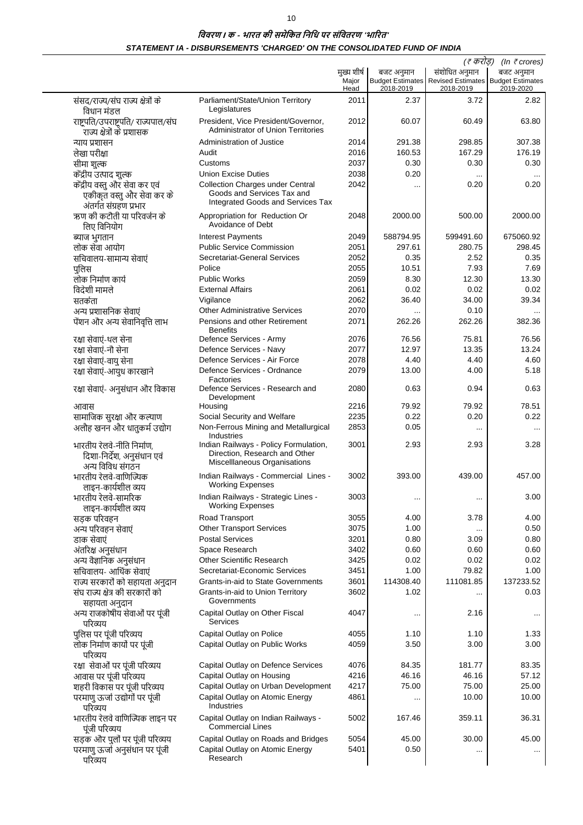# विवरण । क - भारत की समेकित निधि पर संवितरण 'भारित' STATEMENT IA - DISBURSEMENTS 'CHARGED' ON THE CONSOLIDATED FUND OF INDIA

|                                                                                       |                                                                                                            |                      |            | (₹ करोड़)                                                                    | (In $\bar{\tau}$ crores) |
|---------------------------------------------------------------------------------------|------------------------------------------------------------------------------------------------------------|----------------------|------------|------------------------------------------------------------------------------|--------------------------|
|                                                                                       |                                                                                                            | मुख्य शीर्ष<br>Major | बजट अनुमान | संशोधित अनुमान<br><b>Budget Estimates Revised Estimates Budget Estimates</b> | बजट अनुमान               |
|                                                                                       |                                                                                                            | Head                 | 2018-2019  | 2018-2019                                                                    | 2019-2020                |
| संसद/राज्य/संघ राज्य क्षेत्रों के<br>विधान मंडल                                       | Parliament/State/Union Territory<br>Legislatures                                                           | 2011                 | 2.37       | 3.72                                                                         | 2.82                     |
| राष्ट्रपति/उपराष्ट्रपति/ राज्यपाल/संघ<br>राज्य क्षेत्रों के प्रशासक                   | President, Vice President/Governor,<br><b>Administrator of Union Territories</b>                           | 2012                 | 60.07      | 60.49                                                                        | 63.80                    |
| न्याय प्रशासन                                                                         | Administration of Justice                                                                                  | 2014                 | 291.38     | 298.85                                                                       | 307.38                   |
| लेखा परीक्षा                                                                          | Audit                                                                                                      | 2016                 | 160.53     | 167.29                                                                       | 176.19                   |
| सीमा शुल्क                                                                            | Customs                                                                                                    | 2037                 | 0.30       | 0.30                                                                         | 0.30                     |
| केंद्रीय उत्पाद शुल्क                                                                 | <b>Union Excise Duties</b>                                                                                 | 2038                 | 0.20       |                                                                              |                          |
| केंद्रीय वस्तु और सेवा कर एवं<br>एकीकृत वस्तु और सेवा कर के<br>अंतर्गत संग्रहण प्रभार | <b>Collection Charges under Central</b><br>Goods and Services Tax and<br>Integrated Goods and Services Tax | 2042                 | $\cdots$   | 0.20                                                                         | 0.20                     |
| ऋण की कटौती या परिवर्जन के<br>लिए विनियोग                                             | Appropriation for Reduction Or<br>Avoidance of Debt                                                        | 2048                 | 2000.00    | 500.00                                                                       | 2000.00                  |
| ब्याज भुगतान                                                                          | <b>Interest Payments</b>                                                                                   | 2049                 | 588794.95  | 599491.60                                                                    | 675060.92                |
| लोक सेवा आयोग                                                                         | <b>Public Service Commission</b>                                                                           | 2051                 | 297.61     | 280.75                                                                       | 298.45                   |
| सचिवालय-सामान्य सेवाएं                                                                | Secretariat-General Services                                                                               | 2052                 | 0.35       | 2.52                                                                         | 0.35                     |
| पुलिस                                                                                 | Police                                                                                                     | 2055                 | 10.51      | 7.93                                                                         | 7.69                     |
| लोक निर्माण कार्य                                                                     | <b>Public Works</b>                                                                                        | 2059                 | 8.30       | 12.30                                                                        | 13.30                    |
| विदेशी मामले                                                                          | <b>External Affairs</b>                                                                                    | 2061                 | 0.02       | 0.02                                                                         | 0.02                     |
| सतर्कता                                                                               | Vigilance                                                                                                  | 2062                 | 36.40      | 34.00                                                                        | 39.34                    |
| अन्य प्रशासनिक सेवाएं                                                                 | <b>Other Administrative Services</b>                                                                       | 2070                 | $\cdots$   | 0.10                                                                         |                          |
| पेंशन और अन्य सेवानिवृत्ति लाभ                                                        | Pensions and other Retirement<br><b>Benefits</b>                                                           | 2071                 | 262.26     | 262.26                                                                       | 382.36                   |
| रक्षा सेवाएं-थल सेना                                                                  | Defence Services - Army                                                                                    | 2076                 | 76.56      | 75.81                                                                        | 76.56                    |
| रक्षा सेवाएं-नौ सेना                                                                  | Defence Services - Navy                                                                                    | 2077                 | 12.97      | 13.35                                                                        | 13.24                    |
| रक्षा सेवाएं-वायु सेना                                                                | Defence Services - Air Force                                                                               | 2078                 | 4.40       | 4.40                                                                         | 4.60                     |
| रक्षा सेवाएं-आयुध कारखाने                                                             | Defence Services - Ordnance<br>Factories                                                                   | 2079                 | 13.00      | 4.00                                                                         | 5.18                     |
| रक्षा सेवाएं- अनुसंधान और विकास                                                       | Defence Services - Research and<br>Development                                                             | 2080                 | 0.63       | 0.94                                                                         | 0.63                     |
| आवास                                                                                  | Housing                                                                                                    | 2216                 | 79.92      | 79.92                                                                        | 78.51                    |
| सामाजिक सुरक्षा और कल्याण                                                             | Social Security and Welfare                                                                                | 2235                 | 0.22       | 0.20                                                                         | 0.22                     |
| अलौह खनन और धातुकर्म उद्योग                                                           | Non-Ferrous Mining and Metallurgical<br>Industries                                                         | 2853                 | 0.05       |                                                                              |                          |
| भारतीय रेलवे-नीति निर्माण,<br>दिशा-निर्देश, अनुसंधान एवं<br>अन्य विविध संगठन          | Indian Railways - Policy Formulation,<br>Direction, Research and Other<br>Miscelllaneous Organisations     | 3001                 | 2.93       | 2.93                                                                         | 3.28                     |
| भारतीय रेलवे-वाणिज्यिक<br>लाइन-कार्यशील व्यय                                          | Indian Railways - Commercial Lines -<br><b>Working Expenses</b>                                            | 3002                 | 393.00     | 439.00                                                                       | 457.00                   |
| भारतीय रेलवे-सामरिक<br>लाइन-कार्यशील व्यय                                             | Indian Railways - Strategic Lines -<br><b>Working Expenses</b>                                             | 3003                 | $\cdots$   |                                                                              | 3.00                     |
| सड़क परिवहन                                                                           | Road Transport                                                                                             | 3055                 | 4.00       | 3.78                                                                         | 4.00                     |
| अन्य परिवहन सेवाएं                                                                    | <b>Other Transport Services</b>                                                                            | 3075                 | 1.00       |                                                                              | 0.50                     |
| डाक सेवाएं                                                                            | <b>Postal Services</b>                                                                                     | 3201                 | 0.80       | 3.09                                                                         | 0.80                     |
| अंतरिक्ष अनुसंधान                                                                     | Space Research                                                                                             | 3402                 | 0.60       | 0.60                                                                         | 0.60                     |
| अन्य वैज्ञानिक अनुसंधान                                                               | <b>Other Scientific Research</b>                                                                           | 3425                 | 0.02       | 0.02                                                                         | 0.02                     |
| सचिवालय- आर्थिक सेवाएं                                                                | Secretariat-Economic Services                                                                              | 3451                 | 1.00       | 79.82                                                                        | 1.00                     |
| राज्य सरकारों को सहायता अनुदान                                                        | Grants-in-aid to State Governments                                                                         | 3601                 | 114308.40  | 111081.85                                                                    | 137233.52                |
| संघ राज्य क्षेत्र की सरकारों को<br>सहायता अनुदान                                      | Grants-in-aid to Union Territory<br>Governments                                                            | 3602                 | 1.02       |                                                                              | 0.03                     |
| अन्य राजकोषीय सेवाओं पर पूंजी<br>परिव्यय                                              | Capital Outlay on Other Fiscal<br>Services                                                                 | 4047                 | $\cdots$   | 2.16                                                                         |                          |
| पुलिस पर पूंजी परिव्यय                                                                | Capital Outlay on Police                                                                                   | 4055                 | 1.10       | 1.10                                                                         | 1.33                     |
| लोक निर्माण कार्यो पर पूंजी<br>परिव्यय                                                | Capital Outlay on Public Works                                                                             | 4059                 | 3.50       | 3.00                                                                         | 3.00                     |
| रक्षा सेवाओं पर पूंजी परिव्यय                                                         | Capital Outlay on Defence Services                                                                         | 4076                 | 84.35      | 181.77                                                                       | 83.35                    |
| आवास पर पूंजी परिव्यय                                                                 | Capital Outlay on Housing                                                                                  | 4216                 | 46.16      | 46.16                                                                        | 57.12                    |
| शहरी विकास पर पूंजी परिव्यय                                                           | Capital Outlay on Urban Development                                                                        | 4217                 | 75.00      | 75.00                                                                        | 25.00                    |
| परमाणु ऊर्जा उद्योगों पर पूंजी<br>परिव्यय                                             | Capital Outlay on Atomic Energy<br>Industries                                                              | 4861                 |            | 10.00                                                                        | 10.00                    |
| भारतीय रेलवे वाणिज्यिक लाइन पर<br>पूंजी परिव्यय                                       | Capital Outlay on Indian Railways -<br><b>Commercial Lines</b>                                             | 5002                 | 167.46     | 359.11                                                                       | 36.31                    |
| सड़क और पुलों पर पूंजी परिव्यय                                                        | Capital Outlay on Roads and Bridges                                                                        | 5054                 | 45.00      | 30.00                                                                        | 45.00                    |
| परमाणु ऊर्जा अनुसंधान पर पूंजी<br>परिव्यय                                             | Capital Outlay on Atomic Energy<br>Research                                                                | 5401                 | 0.50       |                                                                              |                          |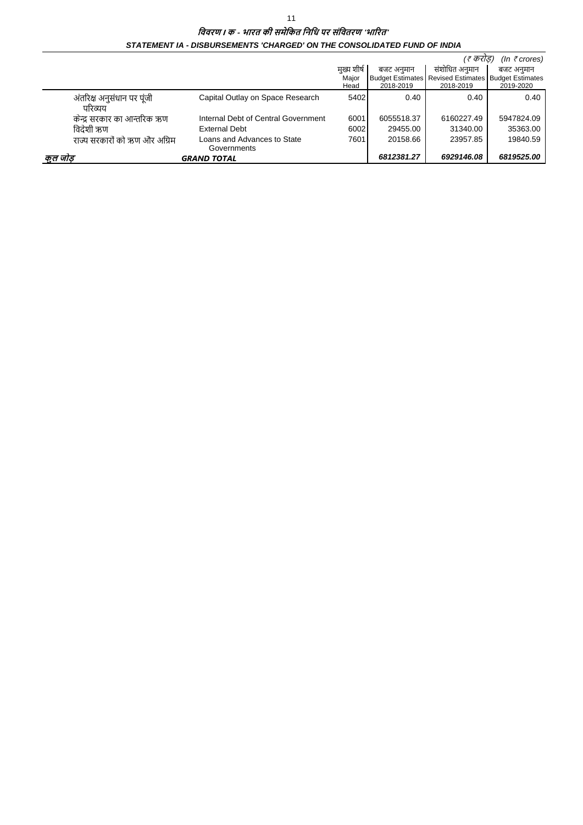|                               |                                     |            |            | (र करांड)                                           | (In $\bar{\tau}$ crores) |
|-------------------------------|-------------------------------------|------------|------------|-----------------------------------------------------|--------------------------|
|                               |                                     | मख्य शीर्ष | बजट अनमान  | संशोधित अनमान                                       | बजट अनमान                |
|                               |                                     | Maior      |            | Budget Estimates Revised Estimates Budget Estimates |                          |
|                               |                                     | Head       | 2018-2019  | 2018-2019                                           | 2019-2020                |
| अंतरिक्ष अनुसंधान पर पूंजी    | Capital Outlay on Space Research    | 5402       | 0.40       | 0.40                                                | 0.40                     |
| परिव्यय                       |                                     |            |            |                                                     |                          |
| केन्द्र सरकार का आन्तरिक ऋण   | Internal Debt of Central Government | 6001       | 6055518.37 | 6160227.49                                          | 5947824.09               |
| विदेशी ऋण                     | External Debt                       | 6002       | 29455.00   | 31340.00                                            | 35363.00                 |
| राज्य सरकारों को ऋण और अग्रिम | Loans and Advances to State         | 7601       | 20158.66   | 23957.85                                            | 19840.59                 |
|                               | Governments                         |            |            |                                                     |                          |
| कुल जांड                      | <b>GRAND TOTAL</b>                  |            | 6812381.27 | 6929146.08                                          | 6819525.00               |

### विवरण । क - भारत की समेकित निधि पर संवितरण 'भारित' STATEMENT IA - DISBURSEMENTS 'CHARGED' ON THE CONSOLIDATED FUND OF INDIA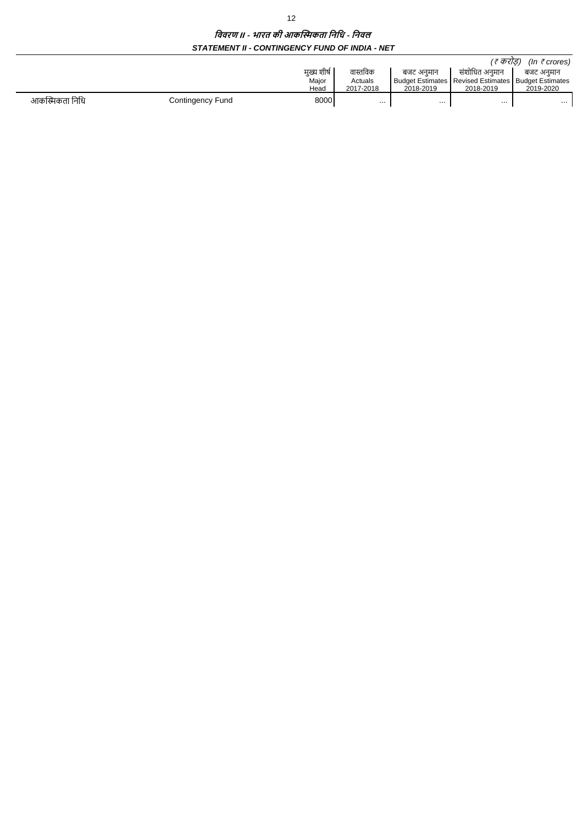### विवरण ॥ - भारत की आकस्मिकता निधि - निवल STATEMENT II - CONTINGENCY FUND OF INDIA - NET

|                |                  |             |           |           | 'ह करोड)                                                | (In $\bar{\tau}$ crores) |
|----------------|------------------|-------------|-----------|-----------|---------------------------------------------------------|--------------------------|
|                |                  | मुख्य शीर्ष | वास्तविक  | बजट अनमान | संशोधित अनमान                                           | बजट अनमान                |
|                |                  | Major       | Actuals   |           | Budget Estimates   Revised Estimates   Budget Estimates |                          |
|                |                  | Head        | 2017-2018 | 2018-2019 | 2018-2019                                               | 2019-2020                |
| आकस्मिकता निधि | Contingency Fund | 8000        | .         | .         | $\cdots$                                                | $\cdots$                 |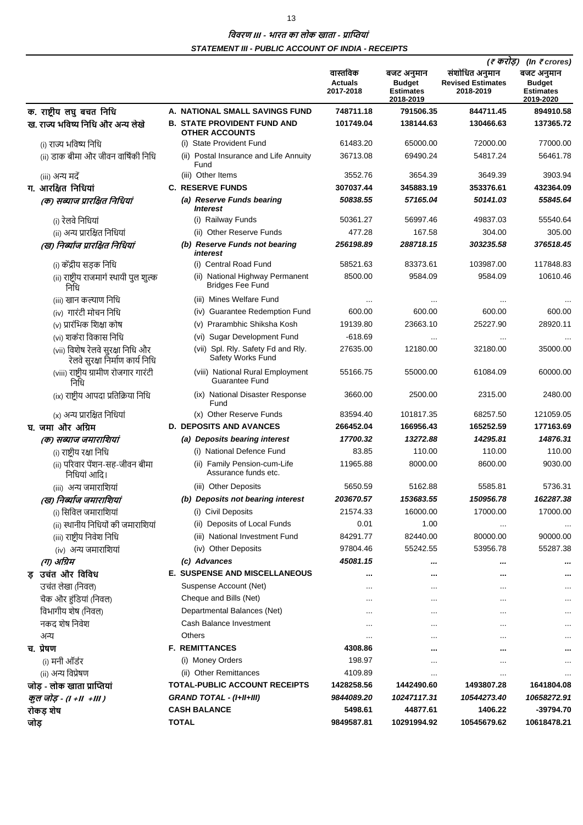# । विवरण III - भारत का लोक खाता - प्राप्तियां **STATEMENT III - PUBLIC ACCOUNT OF INDIA - RECEIPTS**

|                                                                       |                                                             |                                         |                                                              | (इ करोड़)<br>(In $\bar{\tau}$ crores)                   |                                                              |  |
|-----------------------------------------------------------------------|-------------------------------------------------------------|-----------------------------------------|--------------------------------------------------------------|---------------------------------------------------------|--------------------------------------------------------------|--|
|                                                                       |                                                             | वास्तविक<br><b>Actuals</b><br>2017-2018 | बजट अनुमान<br><b>Budget</b><br><b>Estimates</b><br>2018-2019 | संशोधित अनुमान<br><b>Revised Estimates</b><br>2018-2019 | बजट अनुमान<br><b>Budget</b><br><b>Estimates</b><br>2019-2020 |  |
| क. राष्ट्रीय लघु बचत निधि                                             | A. NATIONAL SMALL SAVINGS FUND                              | 748711.18                               | 791506.35                                                    | 844711.45                                               | 894910.58                                                    |  |
| ख. राज्य भविष्य निधि और अन्य लेखे                                     | <b>B. STATE PROVIDENT FUND AND</b><br><b>OTHER ACCOUNTS</b> | 101749.04                               | 138144.63                                                    | 130466.63                                               | 137365.72                                                    |  |
| (i) राज्य भविष्य निधि                                                 | (i) State Provident Fund                                    | 61483.20                                | 65000.00                                                     | 72000.00                                                | 77000.00                                                     |  |
| (ii) डाक बीमा और जीवन वार्षिकी निधि                                   | (ii) Postal Insurance and Life Annuity<br>Fund              | 36713.08                                | 69490.24                                                     | 54817.24                                                | 56461.78                                                     |  |
| (iii) अन्य मदें                                                       | (iii) Other Items                                           | 3552.76                                 | 3654.39                                                      | 3649.39                                                 | 3903.94                                                      |  |
| ग. आरक्षित निधियां                                                    | <b>C. RESERVE FUNDS</b>                                     | 307037.44                               | 345883.19                                                    | 353376.61                                               | 432364.09                                                    |  |
| (क) सब्याज प्रारक्षित निधियां                                         | (a) Reserve Funds bearing<br><i><b>Interest</b></i>         | 50838.55                                | 57165.04                                                     | 50141.03                                                | 55845.64                                                     |  |
| (i) रेलवे निधियां                                                     | (i) Railway Funds                                           | 50361.27                                | 56997.46                                                     | 49837.03                                                | 55540.64                                                     |  |
| (ii) अन्य प्रारक्षित निधियां                                          | (ii) Other Reserve Funds                                    | 477.28                                  | 167.58                                                       | 304.00                                                  | 305.00                                                       |  |
| (ख) निर्ब्याज प्रारक्षित निधियां                                      | (b) Reserve Funds not bearing<br>interest                   | 256198.89                               | 288718.15                                                    | 303235.58                                               | 376518.45                                                    |  |
| (i) केंद्रीय सड़क निधि                                                | (i) Central Road Fund                                       | 58521.63                                | 83373.61                                                     | 103987.00                                               | 117848.83                                                    |  |
| (ii) राष्ट्रीय राजमार्ग स्थायी पुल शुल्क<br>निधि                      | (ii) National Highway Permanent<br><b>Bridges Fee Fund</b>  | 8500.00                                 | 9584.09                                                      | 9584.09                                                 | 10610.46                                                     |  |
| (iii) खान कल्याण निधि                                                 | (iii) Mines Welfare Fund                                    | $\ddotsc$                               |                                                              |                                                         |                                                              |  |
| (iv) गारंटी मोचन निधि                                                 | (iv) Guarantee Redemption Fund                              | 600.00                                  | 600.00                                                       | 600.00                                                  | 600.00                                                       |  |
| (v) प्रारंभिक शिक्षा कोष                                              | Prarambhic Shiksha Kosh<br>(v)                              | 19139.80                                | 23663.10                                                     | 25227.90                                                | 28920.11                                                     |  |
| (vi) शर्करा विकास निधि                                                | (vi) Sugar Development Fund                                 | $-618.69$                               | $\cdots$                                                     | $\cdots$                                                | $\sim$ $\sim$                                                |  |
| (vii) विशेष रेलवे सुरक्षा निधि और<br>रेलवे सुरक्षा निर्माण कार्य निधि | (vii) Spl. Rly. Safety Fd and Rly.<br>Safety Works Fund     | 27635.00                                | 12180.00                                                     | 32180.00                                                | 35000.00                                                     |  |
| (viii) राष्ट्रीय ग्रामीण रोजगार गारंटी<br>निधि                        | (viii) National Rural Employment<br><b>Guarantee Fund</b>   | 55166.75                                | 55000.00                                                     | 61084.09                                                | 60000.00                                                     |  |
| (ix) राष्ट्रीय आपदा प्रतिक्रिया निधि                                  | (ix) National Disaster Response<br>Fund                     | 3660.00                                 | 2500.00                                                      | 2315.00                                                 | 2480.00                                                      |  |
| (x) अन्य प्रारक्षित निधियां                                           | (x) Other Reserve Funds                                     | 83594.40                                | 101817.35                                                    | 68257.50                                                | 121059.05                                                    |  |
| घ. जमा और अग्रिम                                                      | <b>D. DEPOSITS AND AVANCES</b>                              | 266452.04                               | 166956.43                                                    | 165252.59                                               | 177163.69                                                    |  |
| (क) सब्याज जमाराशियां                                                 | (a) Deposits bearing interest                               | 17700.32                                | 13272.88                                                     | 14295.81                                                | 14876.31                                                     |  |
| (i) राष्ट्रीय रक्षा निधि                                              | (i) National Defence Fund                                   | 83.85                                   | 110.00                                                       | 110.00                                                  | 110.00                                                       |  |
| (ii) परिवार पेंशन-सह-जीवन बीमा<br>निधियां आदि।                        | (ii) Family Pension-cum-Life<br>Assurance funds etc.        | 11965.88                                | 8000.00                                                      | 8600.00                                                 | 9030.00                                                      |  |
| (iii) अन्य जमाराशियां                                                 | (iii) Other Deposits                                        | 5650.59                                 | 5162.88                                                      | 5585.81                                                 | 5736.31                                                      |  |
| (ख) निर्ब्याज जमाराशियां                                              | (b) Deposits not bearing interest                           | 203670.57                               | 153683.55                                                    | 150956.78                                               | 162287.38                                                    |  |
| (i) सिविल जमाराशियां                                                  | (i) Civil Deposits                                          | 21574.33                                | 16000.00                                                     | 17000.00                                                | 17000.00                                                     |  |
| (ii) स्थानीय निधियों की जमाराशियां                                    | (ii) Deposits of Local Funds                                | 0.01                                    | 1.00                                                         |                                                         |                                                              |  |
| (iii) राष्ट्रीय निवेश निधि                                            | (iii) National Investment Fund                              | 84291.77                                | 82440.00                                                     | 80000.00                                                | 90000.00                                                     |  |
| (iv) अन्य जमाराशियां                                                  | (iv) Other Deposits                                         | 97804.46                                | 55242.55                                                     | 53956.78                                                | 55287.38                                                     |  |
| (ग) अग्रिम                                                            | (c) Advances                                                | 45081.15                                |                                                              |                                                         |                                                              |  |
| ड़ उचंत और विविध                                                      | E. SUSPENSE AND MISCELLANEOUS                               | $\cdots$                                |                                                              |                                                         |                                                              |  |
| उचंत लेखा (निवल)                                                      | Suspense Account (Net)                                      |                                         | $\cdots$                                                     | $\cdots$                                                |                                                              |  |
| चैक और हुंडियां (निवल)                                                | Cheque and Bills (Net)                                      | $\cdots$                                | $\cdots$                                                     | $\cdots$                                                |                                                              |  |
| विभागीय शेष (निवल)                                                    | Departmental Balances (Net)                                 |                                         | $\cdots$                                                     |                                                         |                                                              |  |
| नकद शेष निवेश                                                         | Cash Balance Investment                                     | $\cdots$                                | $\cdots$                                                     | $\cdots$                                                | $\cdots$                                                     |  |
| अन्य                                                                  | <b>Others</b>                                               | $\cdots$                                | $\cdots$                                                     | $\cdots$                                                | $\cdots$                                                     |  |
| च. प्रेषण                                                             | <b>F. REMITTANCES</b>                                       | 4308.86                                 | $\cdots$                                                     |                                                         |                                                              |  |
| (i) मनी ऑर्डर                                                         | (i) Money Orders                                            | 198.97                                  | $\cdots$                                                     | $\cdots$                                                |                                                              |  |
| (ii) अन्य विप्रेषण                                                    | (ii) Other Remittances                                      | 4109.89                                 | $\cdots$                                                     | $\cdots$                                                |                                                              |  |
| जोड़ - लोक खाता प्राप्तियां                                           | <b>TOTAL-PUBLIC ACCOUNT RECEIPTS</b>                        | 1428258.56                              | 1442490.60                                                   | 1493807.28                                              | 1641804.08                                                   |  |
| कुल जोड़ - (। +।।  +।।। )                                             | <b>GRAND TOTAL - (I+II+III)</b>                             | 9844089.20                              | 10247117.31                                                  | 10544273.40                                             | 10658272.91                                                  |  |
| रोकड़ शेष                                                             | <b>CASH BALANCE</b>                                         | 5498.61                                 | 44877.61                                                     | 1406.22                                                 | -39794.70                                                    |  |
| जोड़                                                                  | <b>TOTAL</b>                                                | 9849587.81                              | 10291994.92                                                  | 10545679.62                                             | 10618478.21                                                  |  |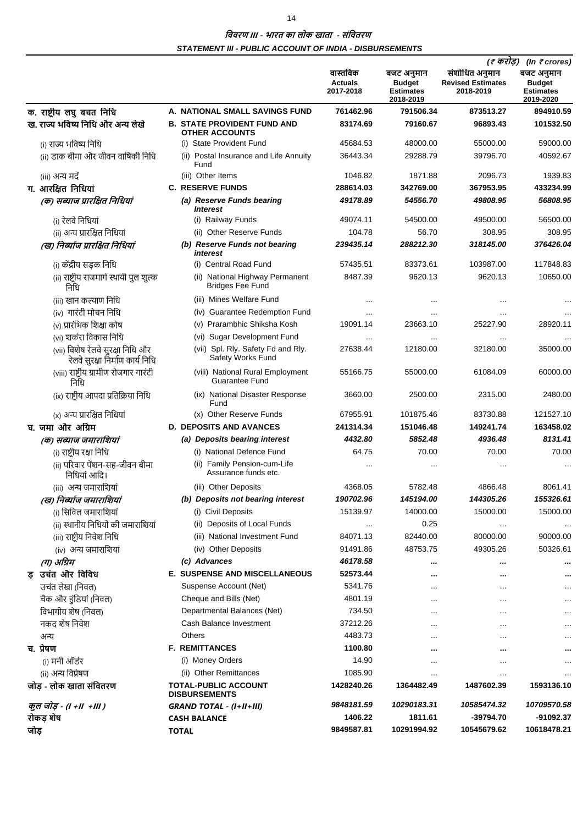# ।<br>विवरण III - भारत का लोक खाता - संवितरण **STATEMENT III - PUBLIC ACCOUNT OF INDIA - DISBURSEMENTS**

|      |                                                                       |                                                             |                                         |                                                              |                                                         | (ह करोड़)<br>(In $\bar{\tau}$ crores)                        |  |
|------|-----------------------------------------------------------------------|-------------------------------------------------------------|-----------------------------------------|--------------------------------------------------------------|---------------------------------------------------------|--------------------------------------------------------------|--|
|      |                                                                       |                                                             | वास्तविक<br><b>Actuals</b><br>2017-2018 | बजट अनुमान<br><b>Budget</b><br><b>Estimates</b><br>2018-2019 | संशोधित अनुमान<br><b>Revised Estimates</b><br>2018-2019 | बजट अनुमान<br><b>Budget</b><br><b>Estimates</b><br>2019-2020 |  |
|      | क. राष्ट्रीय लघु बचत निधि                                             | A. NATIONAL SMALL SAVINGS FUND                              | 761462.96                               | 791506.34                                                    | 873513.27                                               | 894910.59                                                    |  |
|      | ख. राज्य भविष्य निधि और अन्य लेखे                                     | <b>B. STATE PROVIDENT FUND AND</b><br><b>OTHER ACCOUNTS</b> | 83174.69                                | 79160.67                                                     | 96893.43                                                | 101532.50                                                    |  |
|      | (i) राज्य भविष्य निधि                                                 | (i) State Provident Fund                                    | 45684.53                                | 48000.00                                                     | 55000.00                                                | 59000.00                                                     |  |
|      | (ii) डाक बीमा और जीवन वार्षिकी निधि                                   | (ii) Postal Insurance and Life Annuity<br>Fund              | 36443.34                                | 29288.79                                                     | 39796.70                                                | 40592.67                                                     |  |
|      | (iii) अन्य मदें                                                       | (iii) Other Items                                           | 1046.82                                 | 1871.88                                                      | 2096.73                                                 | 1939.83                                                      |  |
|      | ग. आरक्षित निधियां                                                    | <b>C. RESERVE FUNDS</b>                                     | 288614.03                               | 342769.00                                                    | 367953.95                                               | 433234.99                                                    |  |
|      | (क) सब्याज प्रारक्षित निधियां                                         | (a) Reserve Funds bearing<br><b>Interest</b>                | 49178.89                                | 54556.70                                                     | 49808.95                                                | 56808.95                                                     |  |
|      | (i) रेलवे निधियां                                                     | (i) Railway Funds                                           | 49074.11                                | 54500.00                                                     | 49500.00                                                | 56500.00                                                     |  |
|      | (ii) अन्य प्रारक्षित निधियां                                          | <b>Other Reserve Funds</b>                                  | 104.78                                  | 56.70                                                        | 308.95                                                  | 308.95                                                       |  |
|      | (ख) निर्ब्याज प्रारक्षित निधियां                                      | (b) Reserve Funds not bearing<br>interest                   | 239435.14                               | 288212.30                                                    | 318145.00                                               | 376426.04                                                    |  |
|      | (i) केंद्रीय सडक निधि                                                 | (i) Central Road Fund                                       | 57435.51                                | 83373.61                                                     | 103987.00                                               | 117848.83                                                    |  |
|      | (ii) राष्ट्रीय राजमार्ग स्थायी पुल शुल्क<br>निधि                      | (ii) National Highway Permanent<br><b>Bridges Fee Fund</b>  | 8487.39                                 | 9620.13                                                      | 9620.13                                                 | 10650.00                                                     |  |
|      | (iii) खान कल्याण निधि                                                 | (iii) Mines Welfare Fund                                    | $\cdots$                                | $\cdots$                                                     | $\cdots$                                                |                                                              |  |
|      | (iv) गारंटी मोचन निधि                                                 | (iv) Guarantee Redemption Fund                              | $\cdots$                                | $\cdots$                                                     | $\cdots$                                                |                                                              |  |
|      | (v) प्रारंभिक शिक्षा कोष                                              | Prarambhic Shiksha Kosh<br>(v)                              | 19091.14                                | 23663.10                                                     | 25227.90                                                | 28920.11                                                     |  |
|      | (vi) शर्करा विकास निधि                                                | (vi) Sugar Development Fund                                 | $\cdots$                                | $\cdots$                                                     | $\cdots$                                                | $\ddotsc$                                                    |  |
|      | (vii) विशेष रेलवे सुरक्षा निधि और<br>रेलवे सुरक्षा निर्माण कार्य निधि | (vii) Spl. Rly. Safety Fd and Rly.<br>Safety Works Fund     | 27638.44                                | 12180.00                                                     | 32180.00                                                | 35000.00                                                     |  |
|      | (viii) राष्ट्रीय ग्रामीण रोजगार गारंटी<br>निधि                        | (viii) National Rural Employment<br><b>Guarantee Fund</b>   | 55166.75                                | 55000.00                                                     | 61084.09                                                | 60000.00                                                     |  |
|      | (ix) राष्ट्रीय आपदा प्रतिक्रिया निधि                                  | (ix) National Disaster Response<br>Fund                     | 3660.00                                 | 2500.00                                                      | 2315.00                                                 | 2480.00                                                      |  |
|      | (x) अन्य प्रारक्षित निधियां                                           | (x) Other Reserve Funds                                     | 67955.91                                | 101875.46                                                    | 83730.88                                                | 121527.10                                                    |  |
|      | घ. जमा और अग्रिम                                                      | <b>D. DEPOSITS AND AVANCES</b>                              | 241314.34                               | 151046.48                                                    | 149241.74                                               | 163458.02                                                    |  |
|      | (क) सब्याज जमाराशियां                                                 | (a) Deposits bearing interest                               | 4432.80                                 | 5852.48                                                      | 4936.48                                                 | 8131.41                                                      |  |
|      | (i) राष्ट्रीय रक्षा निधि                                              | (i) National Defence Fund                                   | 64.75                                   | 70.00                                                        | 70.00                                                   | 70.00                                                        |  |
|      | (ii) परिवार पेंशन-सह-जीवन बीमा<br>निधियां आदि।                        | (ii) Family Pension-cum-Life<br>Assurance funds etc.        | $\cdots$                                | $\cdots$                                                     | $\cdots$                                                |                                                              |  |
|      | (iii) अन्य जमाराशियां                                                 | (iii) Other Deposits                                        | 4368.05                                 | 5782.48                                                      | 4866.48                                                 | 8061.41                                                      |  |
|      | (ख) निर्ब्याज जमाराशियां                                              | (b) Deposits not bearing interest                           | 190702.96                               | 145194.00                                                    | 144305.26                                               | 155326.61                                                    |  |
|      | (i) सिविल जमाराशियां                                                  | (i) Civil Deposits                                          | 15139.97                                | 14000.00                                                     | 15000.00                                                | 15000.00                                                     |  |
|      | (ii) स्थानीय निधियों की जमाराशियां                                    | (ii) Deposits of Local Funds                                | $\cdots$                                | 0.25                                                         | $\cdots$                                                | $\cdots$                                                     |  |
|      | (iii) राष्ट्रीय निवेश निधि                                            | (iii) National Investment Fund                              | 84071.13                                | 82440.00                                                     | 80000.00                                                | 90000.00                                                     |  |
|      | (iv) अन्य जमाराशियां                                                  | (iv) Other Deposits                                         | 91491.86                                | 48753.75                                                     | 49305.26                                                | 50326.61                                                     |  |
|      | (ग) अग्रिम                                                            | (c) Advances                                                | 46178.58                                |                                                              |                                                         |                                                              |  |
|      | इ उचंत और विविध                                                       | <b>E. SUSPENSE AND MISCELLANEOUS</b>                        | 52573.44                                | $\cdots$                                                     |                                                         |                                                              |  |
|      | उचंत लेखा (निवल)                                                      | Suspense Account (Net)                                      | 5341.76                                 | $\cdots$                                                     | $\cdots$                                                |                                                              |  |
|      | चैक और हुंडियां (निवल)                                                | Cheque and Bills (Net)                                      | 4801.19                                 | $\cdots$                                                     | $\cdots$                                                |                                                              |  |
|      | विभागीय शेष (निवल)                                                    | Departmental Balances (Net)                                 | 734.50                                  | $\cdots$                                                     | $\cdots$                                                | $\cdots$                                                     |  |
|      | नकद शेष निवेश                                                         | Cash Balance Investment                                     | 37212.26                                | $\cdots$                                                     |                                                         | $\cdots$                                                     |  |
|      | अन्य                                                                  | Others                                                      | 4483.73                                 | $\cdots$                                                     | $\cdots$                                                | $\cdots$                                                     |  |
|      | च. प्रेषण                                                             | <b>F. REMITTANCES</b>                                       | 1100.80                                 |                                                              |                                                         |                                                              |  |
|      | (i) मनी ऑर्डर                                                         | (i) Money Orders                                            | 14.90                                   | $\cdots$                                                     | $\cdots$                                                | $\cdots$                                                     |  |
|      | (ii) अन्य विप्रेषण                                                    | (ii) Other Remittances                                      | 1085.90                                 | $\cdots$                                                     | $\cdots$                                                |                                                              |  |
|      | जोड़ - लोक खाता संवितरण                                               | <b>TOTAL-PUBLIC ACCOUNT</b><br><b>DISBURSEMENTS</b>         | 1428240.26                              | 1364482.49                                                   | 1487602.39                                              | 1593136.10                                                   |  |
|      | कुल जोड़ - (। +॥ +॥।)                                                 | <b>GRAND TOTAL - (I+II+III)</b>                             | 9848181.59                              | 10290183.31                                                  | 10585474.32                                             | 10709570.58                                                  |  |
|      | रोकड़ शेष                                                             | <b>CASH BALANCE</b>                                         | 1406.22                                 | 1811.61                                                      | -39794.70                                               | -91092.37                                                    |  |
| जोड़ |                                                                       | <b>TOTAL</b>                                                | 9849587.81                              | 10291994.92                                                  | 10545679.62                                             | 10618478.21                                                  |  |